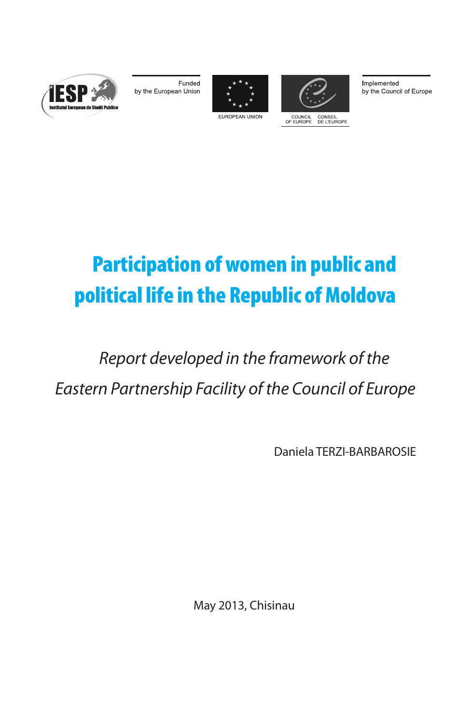

Funded by the European Union





Implemented by the Council of Europe

EUROPEAN UNION



# *Report developed in the framework of the Eastern Partnership Facility of the Council of Europe*

Daniela TERZI-BARBAROSIE

May 2013, Chisinau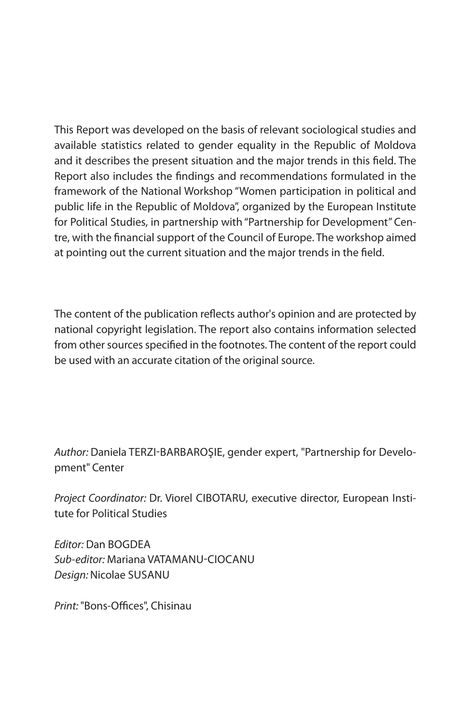This Report was developed on the basis of relevant sociological studies and available statistics related to gender equality in the Republic of Moldova and it describes the present situation and the major trends in this field. The Report also includes the findings and recommendations formulated in the framework of the National Workshop "Women participation in political and public life in the Republic of Moldova", organized by the European Institute for Political Studies, in partnership with "Partnership for Development" Centre, with the financial support of the Council of Europe. The workshop aimed at pointing out the current situation and the major trends in the field.

The content of the publication reflects author's opinion and are protected by national copyright legislation. The report also contains information selected from other sources specified in the footnotes. The content of the report could be used with an accurate citation of the original source.

*Author:* Daniela Terzi-Barbaroşie, gender expert, "Partnership for Development" Center

*Project Coordinator: Dr. Viorel CIBOTARU, executive director, European Insti*tute for Political Studies

*Editor: Dan BOGDEA Sub-editor:* Mariana Vatamanu-Ciocanu *Design:* Nicolae Susanu

*Print:* "Bons-Offices", Chisinau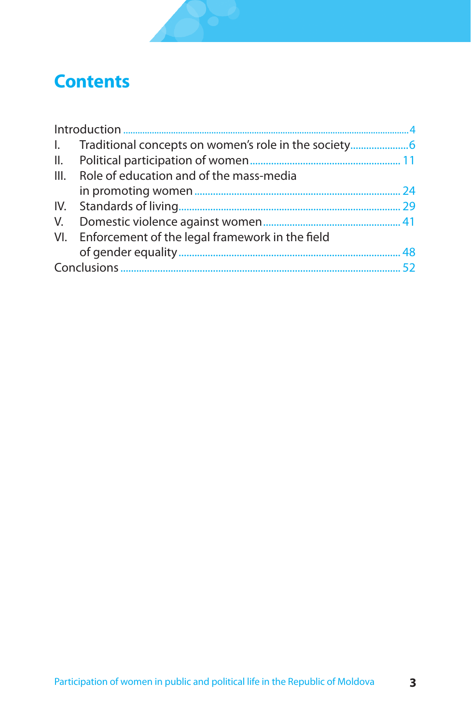## **Contents**

|  | 1. Traditional concepts on women's role in the society |    |  |
|--|--------------------------------------------------------|----|--|
|  |                                                        |    |  |
|  | III. Role of education and of the mass-media           |    |  |
|  |                                                        | 24 |  |
|  |                                                        |    |  |
|  |                                                        |    |  |
|  | VI. Enforcement of the legal framework in the field    |    |  |
|  |                                                        | 48 |  |
|  |                                                        |    |  |
|  |                                                        |    |  |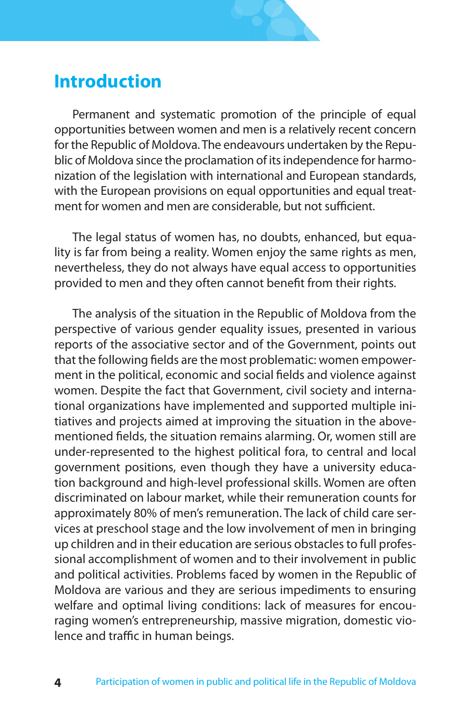### **Introduction**

Permanent and systematic promotion of the principle of equal opportunities between women and men is a relatively recent concern for the Republic of Moldova. The endeavours undertaken by the Republic of Moldova since the proclamation of its independence for harmonization of the legislation with international and European standards, with the European provisions on equal opportunities and equal treatment for women and men are considerable, but not sufficient.

The legal status of women has, no doubts, enhanced, but equality is far from being a reality. Women enjoy the same rights as men, nevertheless, they do not always have equal access to opportunities provided to men and they often cannot benefit from their rights.

The analysis of the situation in the Republic of Moldova from the perspective of various gender equality issues, presented in various reports of the associative sector and of the Government, points out that the following fields are the most problematic: women empowerment in the political, economic and social fields and violence against women. Despite the fact that Government, civil society and international organizations have implemented and supported multiple initiatives and projects aimed at improving the situation in the abovementioned fields, the situation remains alarming. Or, women still are under-represented to the highest political fora, to central and local government positions, even though they have a university education background and high-level professional skills. Women are often discriminated on labour market, while their remuneration counts for approximately 80% of men's remuneration. The lack of child care services at preschool stage and the low involvement of men in bringing up children and in their education are serious obstacles to full professional accomplishment of women and to their involvement in public and political activities. Problems faced by women in the Republic of Moldova are various and they are serious impediments to ensuring welfare and optimal living conditions: lack of measures for encouraging women's entrepreneurship, massive migration, domestic violence and traffic in human beings.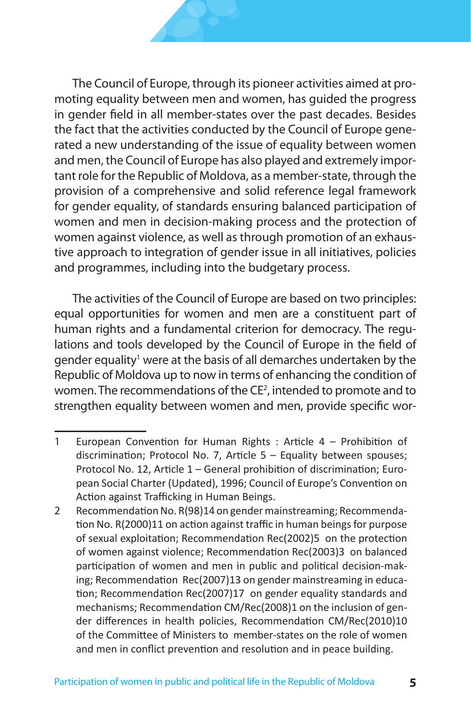The Council of Europe, through its pioneer activities aimed at promoting equality between men and women, has guided the progress in gender field in all member-states over the past decades. Besides the fact that the activities conducted by the Council of Europe generated a new understanding of the issue of equality between women and men, the Council of Europe has also played and extremely important role for the Republic of Moldova, as a member-state, through the provision of a comprehensive and solid reference legal framework for gender equality, of standards ensuring balanced participation of women and men in decision-making process and the protection of women against violence, as well as through promotion of an exhaustive approach to integration of gender issue in all initiatives, policies and programmes, including into the budgetary process.

The activities of the Council of Europe are based on two principles: equal opportunities for women and men are a constituent part of human rights and a fundamental criterion for democracy. The regulations and tools developed by the Council of Europe in the field of gender equality<sup>1</sup> were at the basis of all demarches undertaken by the Republic of Moldova up to now in terms of enhancing the condition of women. The recommendations of the CE<sup>2</sup>, intended to promote and to strengthen equality between women and men, provide specific wor-

<sup>1</sup> European Convention for Human Rights : Article 4 – Prohibition of discrimination; Protocol No. 7, Article 5 – Equality between spouses; Protocol No. 12, Article 1 – General prohibition of discrimination; European Social Charter (Updated), 1996; Council of Europe's Convention on Action against Trafficking in Human Beings.

<sup>2</sup> Recommendation No. R(98)14 on gender mainstreaming; Recommendation No. R(2000)11 on action against traffic in human beings for purpose of sexual exploitation; Recommendation Rec(2002)5 on the protection of women against violence; Recommendation Rec(2003)3 on balanced participation of women and men in public and political decision-making; Recommendation Rec(2007)13 on gender mainstreaming in education; Recommendation Rec(2007)17 on gender equality standards and mechanisms; Recommendation CM/Rec(2008)1 on the inclusion of gender differences in health policies, Recommendation CM/Rec(2010)10 of the Committee of Ministers to member-states on the role of women and men in conflict prevention and resolution and in peace building.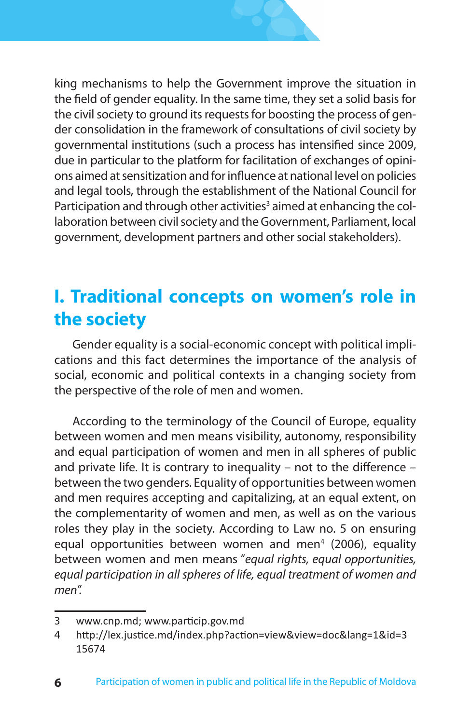

king mechanisms to help the Government improve the situation in the field of gender equality. In the same time, they set a solid basis for the civil society to ground its requests for boosting the process of gender consolidation in the framework of consultations of civil society by governmental institutions (such a process has intensified since 2009, due in particular to the platform for facilitation of exchanges of opinions aimed at sensitization and for influence at national level on policies and legal tools, through the establishment of the National Council for Participation and through other activities<sup>3</sup> aimed at enhancing the collaboration between civil society and the Government, Parliament, local government, development partners and other social stakeholders).

# **I. Traditional concepts on women's role in the society**

Gender equality is a social-economic concept with political implications and this fact determines the importance of the analysis of social, economic and political contexts in a changing society from the perspective of the role of men and women.

According to the terminology of the Council of Europe, equality between women and men means visibility, autonomy, responsibility and equal participation of women and men in all spheres of public and private life. It is contrary to inequality – not to the difference – between the two genders. Equality of opportunities between women and men requires accepting and capitalizing, at an equal extent, on the complementarity of women and men, as well as on the various roles they play in the society. According to Law no. 5 on ensuring equal opportunities between women and men<sup>4</sup> (2006), equality between women and men means "*equal rights, equal opportunities, equal participation in all spheres of life, equal treatment of women and men".*

<sup>3</sup> www.cnp.md; www.particip.gov.md

<sup>4</sup> http://lex.justice.md/index.php?action=view&view=doc&lang=1&id=3 15674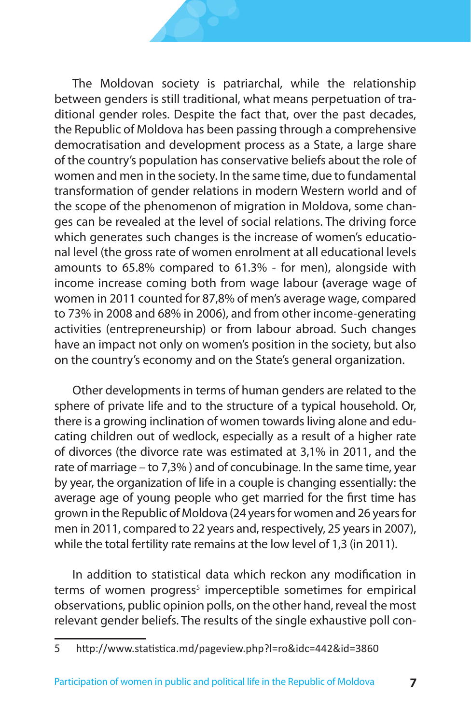The Moldovan society is patriarchal, while the relationship between genders is still traditional, what means perpetuation of traditional gender roles. Despite the fact that, over the past decades, the Republic of Moldova has been passing through a comprehensive democratisation and development process as a State, a large share of the country's population has conservative beliefs about the role of women and men in the society. In the same time, due to fundamental transformation of gender relations in modern Western world and of the scope of the phenomenon of migration in Moldova, some changes can be revealed at the level of social relations. The driving force which generates such changes is the increase of women's educational level (the gross rate of women enrolment at all educational levels amounts to 65.8% compared to 61.3% - for men), alongside with income increase coming both from wage labour **(**average wage of women in 2011 counted for 87,8% of men's average wage, compared to 73% in 2008 and 68% in 2006), and from other income-generating activities (entrepreneurship) or from labour abroad. Such changes have an impact not only on women's position in the society, but also on the country's economy and on the State's general organization.

Other developments in terms of human genders are related to the sphere of private life and to the structure of a typical household. Or, there is a growing inclination of women towards living alone and educating children out of wedlock, especially as a result of a higher rate of divorces (the divorce rate was estimated at 3,1% in 2011, and the rate of marriage – to 7,3% ) and of concubinage. In the same time, year by year, the organization of life in a couple is changing essentially: the average age of young people who get married for the first time has grown in the Republic of Moldova (24 years for women and 26 years for men in 2011, compared to 22 years and, respectively, 25 years in 2007), while the total fertility rate remains at the low level of 1,3 (in 2011).

In addition to statistical data which reckon any modification in terms of women progress<sup>5</sup> imperceptible sometimes for empirical observations, public opinion polls, on the other hand, reveal the most relevant gender beliefs. The results of the single exhaustive poll con-

<sup>5</sup> http://www.statistica.md/pageview.php?l=ro&idc=442&id=3860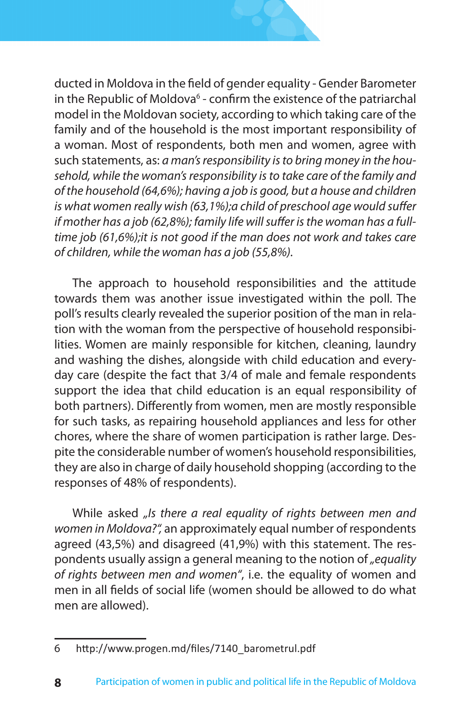

ducted in Moldova in the field of gender equality - Gender Barometer in the Republic of Moldova<sup>6</sup> - confirm the existence of the patriarchal model in the Moldovan society, according to which taking care of the family and of the household is the most important responsibility of a woman. Most of respondents, both men and women, agree with such statements, as: *a man's responsibility is to bring money in the household, while the woman's responsibility is to take care of the family and of the household (64,6%); having a job is good, but a house and children is what women really wish (63,1%);a child of preschool age would suffer if mother has a job (62,8%); family life will suffer is the woman has a fulltime job (61,6%);it is not good if the man does not work and takes care of children, while the woman has a job (55,8%).*

The approach to household responsibilities and the attitude towards them was another issue investigated within the poll. The poll's results clearly revealed the superior position of the man in relation with the woman from the perspective of household responsibilities. Women are mainly responsible for kitchen, cleaning, laundry and washing the dishes, alongside with child education and everyday care (despite the fact that 3/4 of male and female respondents support the idea that child education is an equal responsibility of both partners). Differently from women, men are mostly responsible for such tasks, as repairing household appliances and less for other chores, where the share of women participation is rather large. Despite the considerable number of women's household responsibilities, they are also in charge of daily household shopping (according to the responses of 48% of respondents).

While asked *"Is there a real equality of rights between men and women in Moldova?",* an approximately equal number of respondents agreed (43,5%) and disagreed (41,9%) with this statement. The respondents usually assign a general meaning to the notion of *"equality of rights between men and women"*, i.e. the equality of women and men in all fields of social life (women should be allowed to do what men are allowed).

<sup>6</sup> http://www.progen.md/files/7140\_barometrul.pdf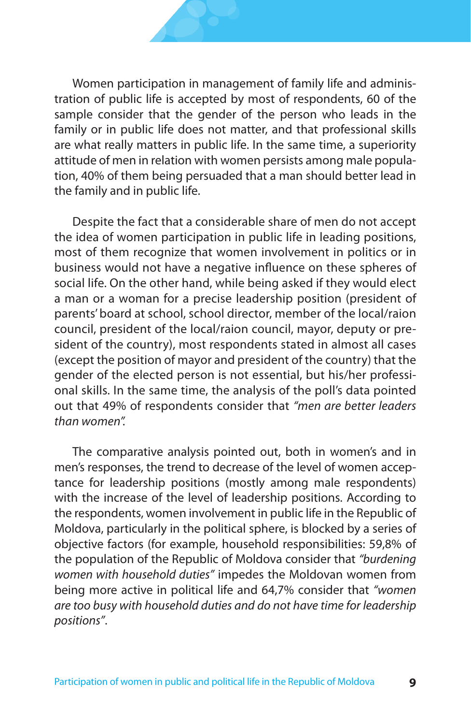Women participation in management of family life and administration of public life is accepted by most of respondents, 60 of the sample consider that the gender of the person who leads in the family or in public life does not matter, and that professional skills are what really matters in public life. In the same time, a superiority attitude of men in relation with women persists among male population, 40% of them being persuaded that a man should better lead in the family and in public life.

Despite the fact that a considerable share of men do not accept the idea of women participation in public life in leading positions, most of them recognize that women involvement in politics or in business would not have a negative influence on these spheres of social life. On the other hand, while being asked if they would elect a man or a woman for a precise leadership position (president of parents' board at school, school director, member of the local/raion council, president of the local/raion council, mayor, deputy or president of the country), most respondents stated in almost all cases (except the position of mayor and president of the country) that the gender of the elected person is not essential, but his/her professional skills. In the same time, the analysis of the poll's data pointed out that 49% of respondents consider that *"men are better leaders than women".*

The comparative analysis pointed out, both in women's and in men's responses, the trend to decrease of the level of women acceptance for leadership positions (mostly among male respondents) with the increase of the level of leadership positions. According to the respondents, women involvement in public life in the Republic of Moldova, particularly in the political sphere, is blocked by a series of objective factors (for example, household responsibilities: 59,8% of the population of the Republic of Moldova consider that *"burdening women with household duties"* impedes the Moldovan women from being more active in political life and 64,7% consider that *"women are too busy with household duties and do not have time for leadership positions"*.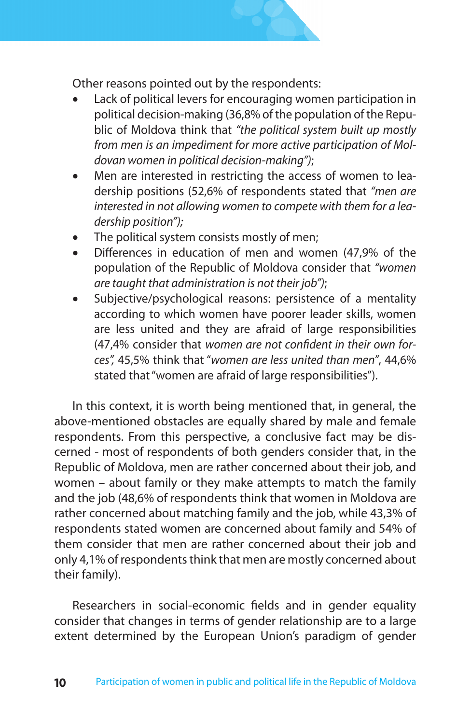Other reasons pointed out by the respondents:

- Lack of political levers for encouraging women participation in political decision-making (36,8% of the population of the Republic of Moldova think that *"the political system built up mostly from men is an impediment for more active participation of Moldovan women in political decision-making")*;
- Men are interested in restricting the access of women to leadership positions (52,6% of respondents stated that *"men are interested in not allowing women to compete with them for a leadership position");*
- The political system consists mostly of men;
- Differences in education of men and women (47,9% of the population of the Republic of Moldova consider that *"women are taught that administration is not their job")*;
- Subjective/psychological reasons: persistence of a mentality according to which women have poorer leader skills, women are less united and they are afraid of large responsibilities (47,4% consider that *women are not confident in their own forces",* 45,5% think that "*women are less united than men"*, 44,6% stated that "women are afraid of large responsibilities").

In this context, it is worth being mentioned that, in general, the above-mentioned obstacles are equally shared by male and female respondents. From this perspective, a conclusive fact may be discerned - most of respondents of both genders consider that, in the Republic of Moldova, men are rather concerned about their job, and women – about family or they make attempts to match the family and the job (48,6% of respondents think that women in Moldova are rather concerned about matching family and the job, while 43,3% of respondents stated women are concerned about family and 54% of them consider that men are rather concerned about their job and only 4,1% of respondents think that men are mostly concerned about their family).

Researchers in social-economic fields and in gender equality consider that changes in terms of gender relationship are to a large extent determined by the European Union's paradigm of gender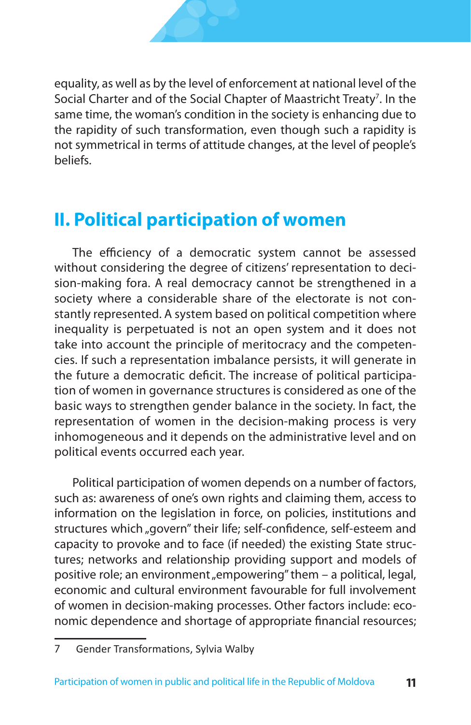equality, as well as by the level of enforcement at national level of the Social Charter and of the Social Chapter of Maastricht Treaty<sup>7</sup>. In the same time, the woman's condition in the society is enhancing due to the rapidity of such transformation, even though such a rapidity is not symmetrical in terms of attitude changes, at the level of people's beliefs.

# **II. Political participation of women**

The efficiency of a democratic system cannot be assessed without considering the degree of citizens' representation to decision-making fora. A real democracy cannot be strengthened in a society where a considerable share of the electorate is not constantly represented. A system based on political competition where inequality is perpetuated is not an open system and it does not take into account the principle of meritocracy and the competencies. If such a representation imbalance persists, it will generate in the future a democratic deficit. The increase of political participation of women in governance structures is considered as one of the basic ways to strengthen gender balance in the society. In fact, the representation of women in the decision-making process is very inhomogeneous and it depends on the administrative level and on political events occurred each year.

Political participation of women depends on a number of factors, such as: awareness of one's own rights and claiming them, access to information on the legislation in force, on policies, institutions and structures which "govern" their life; self-confidence, self-esteem and capacity to provoke and to face (if needed) the existing State structures; networks and relationship providing support and models of positive role; an environment "empowering" them - a political, legal, economic and cultural environment favourable for full involvement of women in decision-making processes. Other factors include: economic dependence and shortage of appropriate financial resources;

<sup>7</sup> Gender Transformations, Sylvia Walby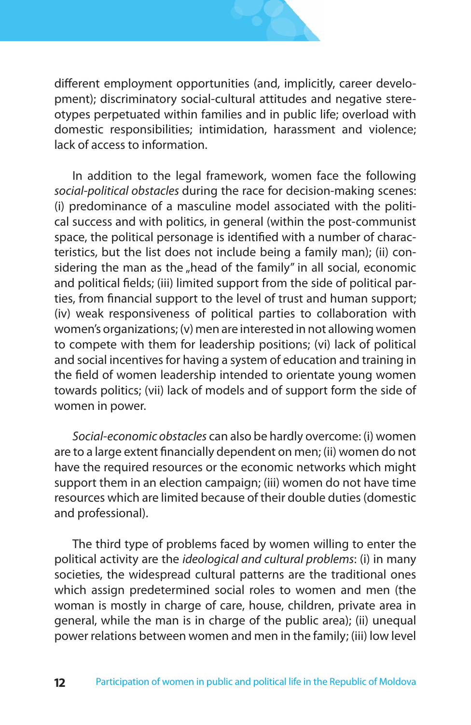

different employment opportunities (and, implicitly, career development); discriminatory social-cultural attitudes and negative stereotypes perpetuated within families and in public life; overload with domestic responsibilities; intimidation, harassment and violence; lack of access to information.

In addition to the legal framework, women face the following *social-political obstacles* during the race for decision-making scenes: (i) predominance of a masculine model associated with the political success and with politics, in general (within the post-communist space, the political personage is identified with a number of characteristics, but the list does not include being a family man); (ii) considering the man as the "head of the family" in all social, economic and political fields; (iii) limited support from the side of political parties, from financial support to the level of trust and human support; (iv) weak responsiveness of political parties to collaboration with women's organizations; (v) men are interested in not allowing women to compete with them for leadership positions; (vi) lack of political and social incentives for having a system of education and training in the field of women leadership intended to orientate young women towards politics; (vii) lack of models and of support form the side of women in power.

*Social-economic obstacles* can also be hardly overcome: (i) women are to a large extent financially dependent on men; (ii) women do not have the required resources or the economic networks which might support them in an election campaign; (iii) women do not have time resources which are limited because of their double duties (domestic and professional).

The third type of problems faced by women willing to enter the political activity are the *ideological and cultural problems*: (i) in many societies, the widespread cultural patterns are the traditional ones which assign predetermined social roles to women and men (the woman is mostly in charge of care, house, children, private area in general, while the man is in charge of the public area); (ii) unequal power relations between women and men in the family; (iii) low level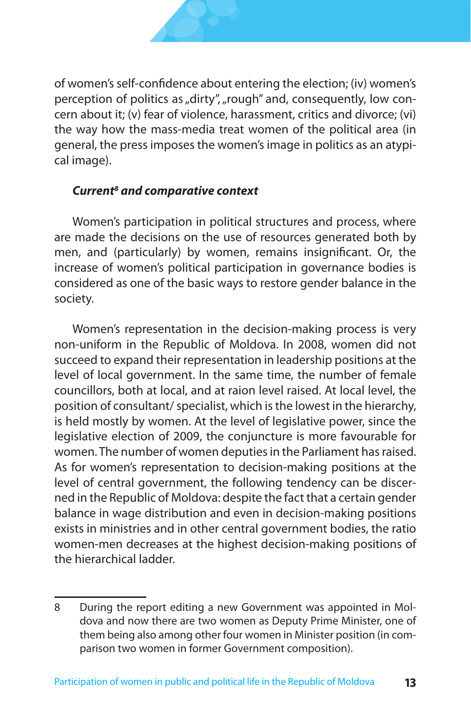

of women's self-confidence about entering the election; (iv) women's perception of politics as "dirty", "rough" and, consequently, low concern about it; (v) fear of violence, harassment, critics and divorce; (vi) the way how the mass-media treat women of the political area (in general, the press imposes the women's image in politics as an atypical image).

#### *Current and comparative context*

Women's participation in political structures and process, where are made the decisions on the use of resources generated both by men, and (particularly) by women, remains insignificant. Or, the increase of women's political participation in governance bodies is considered as one of the basic ways to restore gender balance in the society.

Women's representation in the decision-making process is very non-uniform in the Republic of Moldova. In 2008, women did not succeed to expand their representation in leadership positions at the level of local government. In the same time, the number of female councillors, both at local, and at raion level raised. At local level, the position of consultant/ specialist, which is the lowest in the hierarchy, is held mostly by women. At the level of legislative power, since the legislative election of 2009, the conjuncture is more favourable for women. The number of women deputies in the Parliament has raised. As for women's representation to decision-making positions at the level of central government, the following tendency can be discerned in the Republic of Moldova: despite the fact that a certain gender balance in wage distribution and even in decision-making positions exists in ministries and in other central government bodies, the ratio women-men decreases at the highest decision-making positions of the hierarchical ladder.

<sup>8</sup> During the report editing a new Government was appointed in Moldova and now there are two women as Deputy Prime Minister, one of them being also among other four women in Minister position (in comparison two women in former Government composition).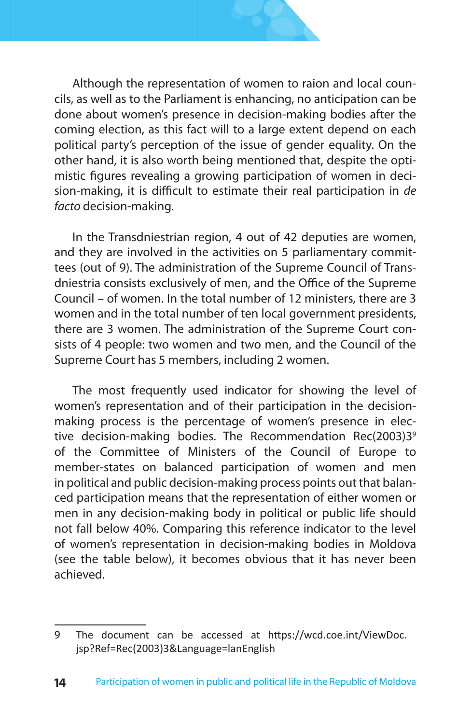

Although the representation of women to raion and local councils, as well as to the Parliament is enhancing, no anticipation can be done about women's presence in decision-making bodies after the coming election, as this fact will to a large extent depend on each political party's perception of the issue of gender equality. On the other hand, it is also worth being mentioned that, despite the optimistic figures revealing a growing participation of women in decision-making, it is difficult to estimate their real participation in *de facto* decision-making.

In the Transdniestrian region, 4 out of 42 deputies are women, and they are involved in the activities on 5 parliamentary committees (out of 9). The administration of the Supreme Council of Transdniestria consists exclusively of men, and the Office of the Supreme Council – of women. In the total number of 12 ministers, there are 3 women and in the total number of ten local government presidents, there are 3 women. The administration of the Supreme Court consists of 4 people: two women and two men, and the Council of the Supreme Court has 5 members, including 2 women.

The most frequently used indicator for showing the level of women's representation and of their participation in the decisionmaking process is the percentage of women's presence in elective decision-making bodies. The Recommendation Rec(2003)3<sup>9</sup> of the Committee of Ministers of the Council of Europe to member-states on balanced participation of women and men in political and public decision-making process points out that balanced participation means that the representation of either women or men in any decision-making body in political or public life should not fall below 40%. Comparing this reference indicator to the level of women's representation in decision-making bodies in Moldova (see the table below), it becomes obvious that it has never been achieved.

<sup>9</sup> The document can be accessed at https://wcd.coe.int/ViewDoc. jsp?Ref=Rec(2003)3&Language=lanEnglish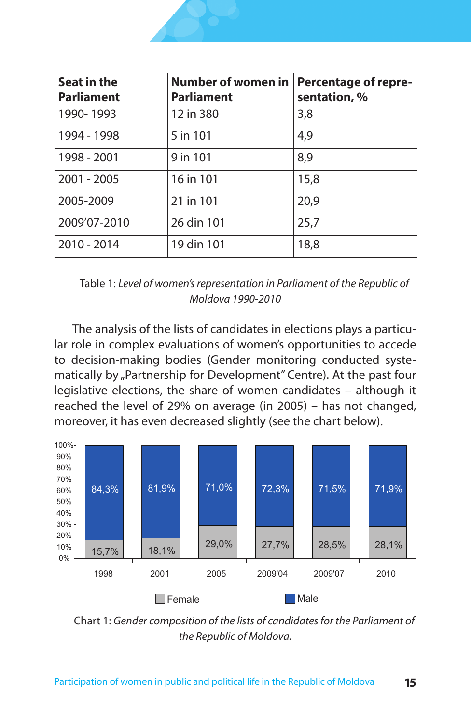

| Seat in the<br><b>Parliament</b> | Number of women in<br><b>Parliament</b> | <b>Percentage of repre-</b><br>sentation, % |
|----------------------------------|-----------------------------------------|---------------------------------------------|
| 1990-1993                        | 12 in 380                               | 3,8                                         |
| 1994 - 1998                      | 5 in 101                                | 4,9                                         |
| 1998 - 2001                      | 9 in 101                                | 8,9                                         |
| $2001 - 2005$                    | 16 in 101                               | 15,8                                        |
| 2005-2009                        | 21 in 101                               | 20,9                                        |
| 2009'07-2010                     | 26 din 101                              | 25,7                                        |
| 2010 - 2014                      | 19 din 101                              | 18,8                                        |

Table 1: *Level of women's representation in Parliament of the Republic of Moldova 1990-2010*

The analysis of the lists of candidates in elections plays a particular role in complex evaluations of women's opportunities to accede to decision-making bodies (Gender monitoring conducted systematically by "Partnership for Development" Centre). At the past four legislative elections, the share of women candidates – although it reached the level of 29% on average (in 2005) – has not changed, moreover, it has even decreased slightly (see the chart below).



Chart 1: *Gender composition of the lists of candidates for the Parliament of the Republic of Moldova.*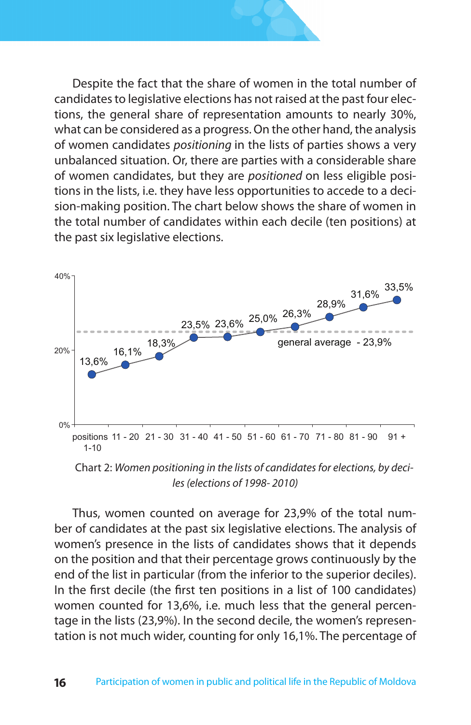Despite the fact that the share of women in the total number of candidates to legislative elections has not raised at the past four elections, the general share of representation amounts to nearly 30%, what can be considered as a progress. On the other hand, the analysis of women candidates *positioning* in the lists of parties shows a very unbalanced situation. Or, there are parties with a considerable share of women candidates, but they are *positioned* on less eligible positions in the lists, i.e. they have less opportunities to accede to a decision-making position. The chart below shows the share of women in the total number of candidates within each decile (ten positions) at the past six legislative elections.



Chart 2: *Women positioning in the lists of candidates for elections, by deciles (elections of 1998- 2010)*

Thus, women counted on average for 23,9% of the total number of candidates at the past six legislative elections. The analysis of women's presence in the lists of candidates shows that it depends on the position and that their percentage grows continuously by the end of the list in particular (from the inferior to the superior deciles). In the first decile (the first ten positions in a list of 100 candidates) women counted for 13,6%, i.e. much less that the general percentage in the lists (23,9%). In the second decile, the women's representation is not much wider, counting for only 16,1%. The percentage of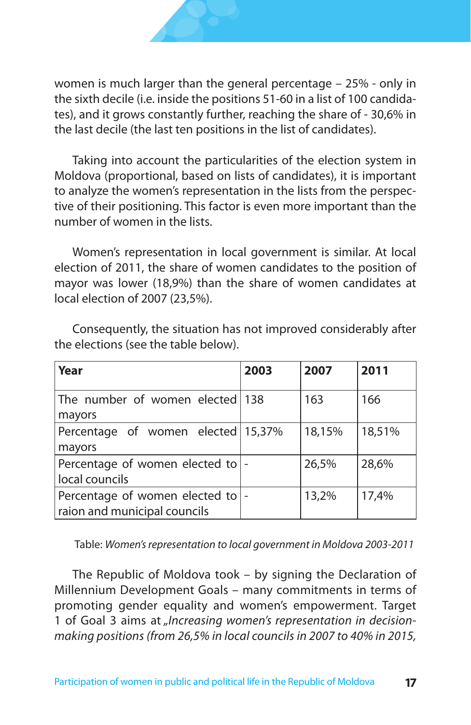women is much larger than the general percentage – 25% - only in the sixth decile (i.e. inside the positions 51-60 in a list of 100 candidates), and it grows constantly further, reaching the share of - 30,6% in the last decile (the last ten positions in the list of candidates).

Taking into account the particularities of the election system in Moldova (proportional, based on lists of candidates), it is important to analyze the women's representation in the lists from the perspective of their positioning. This factor is even more important than the number of women in the lists.

Women's representation in local government is similar. At local election of 2011, the share of women candidates to the position of mayor was lower (18,9%) than the share of women candidates at local election of 2007 (23,5%).

| Year                                                             | 2003 | 2007   | 2011   |
|------------------------------------------------------------------|------|--------|--------|
| The number of women elected 138<br>mayors                        |      | 163    | 166    |
| Percentage of women elected 15,37%<br>mayors                     |      | 18,15% | 18,51% |
| Percentage of women elected to  -<br>local councils              |      | 26,5%  | 28,6%  |
| Percentage of women elected to -<br>raion and municipal councils |      | 13,2%  | 17,4%  |

Consequently, the situation has not improved considerably after the elections (see the table below).

Table: *Women's representation to local government in Moldova 2003-2011*

The Republic of Moldova took – by signing the Declaration of Millennium Development Goals – many commitments in terms of promoting gender equality and women's empowerment. Target 1 of Goal 3 aims at *"Increasing women's representation in decisionmaking positions (from 26,5% in local councils in 2007 to 40% in 2015,*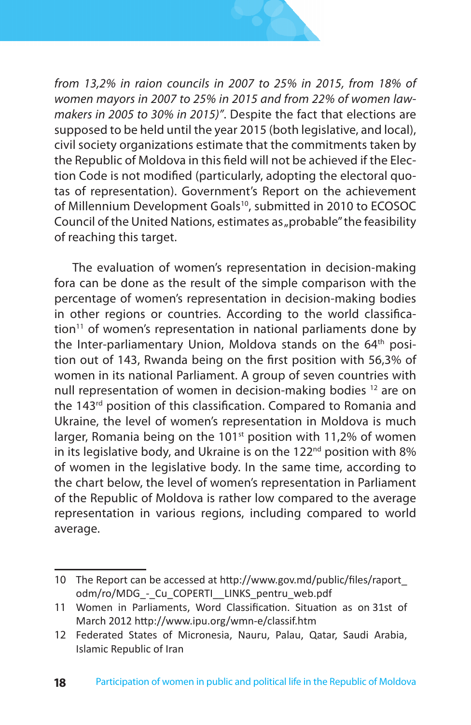

*from 13,2% in raion councils in 2007 to 25% in 2015, from 18% of women mayors in 2007 to 25% in 2015 and from 22% of women lawmakers in 2005 to 30% in 2015)"*. Despite the fact that elections are supposed to be held until the year 2015 (both legislative, and local), civil society organizations estimate that the commitments taken by the Republic of Moldova in this field will not be achieved if the Election Code is not modified (particularly, adopting the electoral quotas of representation). Government's Report on the achievement of Millennium Development Goals<sup>10</sup>, submitted in 2010 to ECOSOC Council of the United Nations, estimates as "probable" the feasibility of reaching this target.

The evaluation of women's representation in decision-making fora can be done as the result of the simple comparison with the percentage of women's representation in decision-making bodies in other regions or countries. According to the world classifica $tion<sup>11</sup>$  of women's representation in national parliaments done by the Inter-parliamentary Union, Moldova stands on the 64<sup>th</sup> position out of 143, Rwanda being on the first position with 56,3% of women in its national Parliament. A group of seven countries with null representation of women in decision-making bodies 12 are on the 143<sup>rd</sup> position of this classification. Compared to Romania and Ukraine, the level of women's representation in Moldova is much larger, Romania being on the 101<sup>st</sup> position with 11,2% of women in its legislative body, and Ukraine is on the  $122<sup>nd</sup>$  position with 8% of women in the legislative body. In the same time, according to the chart below, the level of women's representation in Parliament of the Republic of Moldova is rather low compared to the average representation in various regions, including compared to world average.

<sup>10</sup> The Report can be accessed at http://www.gov.md/public/files/raport\_ odm/ro/MDG - Cu COPERTI LINKS pentru web.pdf

<sup>11</sup> Women in Parliaments, Word Classification. Situation as on 31st of March 2012 http://www.ipu.org/wmn-e/classif.htm

<sup>12</sup> Federated States of Micronesia, Nauru, Palau, Qatar, Saudi Arabia, Islamic Republic of Iran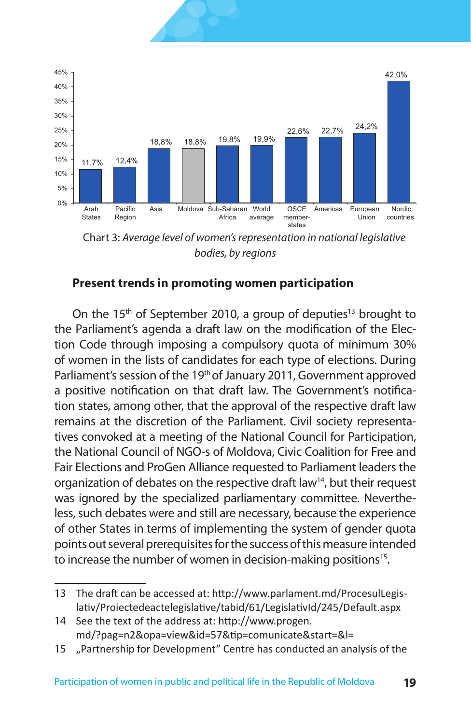



Chart 3: *Average level of women's representation in national legislative bodies, by regions*

#### **Present trends in promoting women participation**

On the 15<sup>th</sup> of September 2010, a group of deputies<sup>13</sup> brought to the Parliament's agenda a draft law on the modification of the Election Code through imposing a compulsory quota of minimum 30% of women in the lists of candidates for each type of elections. During Parliament's session of the 19<sup>th</sup> of January 2011, Government approved a positive notification on that draft law. The Government's notification states, among other, that the approval of the respective draft law remains at the discretion of the Parliament. Civil society representatives convoked at a meeting of the National Council for Participation, the National Council of NGO-s of Moldova, Civic Coalition for Free and Fair Elections and ProGen Alliance requested to Parliament leaders the organization of debates on the respective draft law<sup>14</sup>, but their request was ignored by the specialized parliamentary committee. Nevertheless, such debates were and still are necessary, because the experience of other States in terms of implementing the system of gender quota points out several prerequisites for the success of this measure intended to increase the number of women in decision-making positions<sup>15</sup>.

<sup>13</sup> The draft can be accessed at: http://www.parlament.md/ProcesulLegislativ/Proiectedeactelegislative/tabid/61/LegislativId/245/Default.aspx

<sup>14</sup> See the text of the address at: http://www.progen. md/?pag=n2&opa=view&id=57&tip=comunicate&start=&l=

<sup>15</sup> "Partnership for Development" Centre has conducted an analysis of the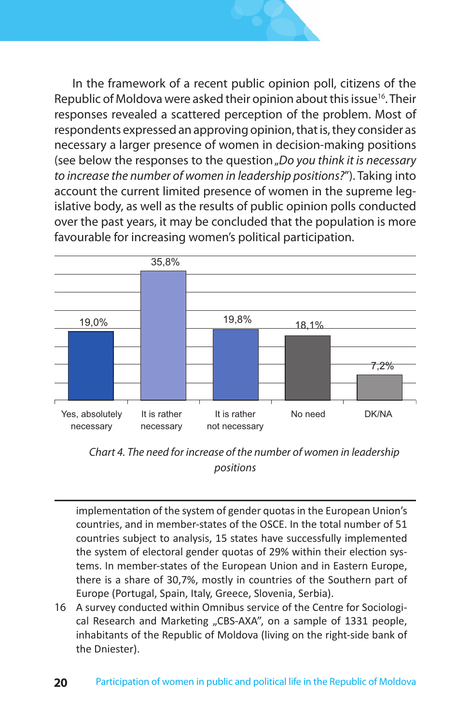



*Chart 4. The need for increase of the number of women in leadership positions*

implementation of the system of gender quotas in the European Union's countries, and in member-states of the OSCE. In the total number of 51 countries subject to analysis, 15 states have successfully implemented the system of electoral gender quotas of 29% within their election systems. In member-states of the European Union and in Eastern Europe, there is a share of 30,7%, mostly in countries of the Southern part of Europe (Portugal, Spain, Italy, Greece, Slovenia, Serbia).

16 A survey conducted within Omnibus service of the Centre for Sociological Research and Marketing "CBS-AXA", on a sample of 1331 people, inhabitants of the Republic of Moldova (living on the right-side bank of the Dniester).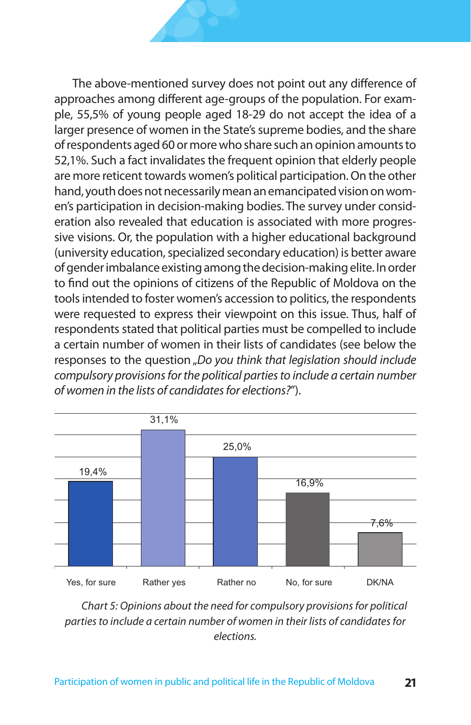The above-mentioned survey does not point out any difference of approaches among different age-groups of the population. For example, 55,5% of young people aged 18-29 do not accept the idea of a larger presence of women in the State's supreme bodies, and the share of respondents aged 60 or more who share such an opinion amounts to 52,1%. Such a fact invalidates the frequent opinion that elderly people are more reticent towards women's political participation. On the other hand, youth does not necessarily mean an emancipated vision on women's participation in decision-making bodies. The survey under consideration also revealed that education is associated with more progressive visions. Or, the population with a higher educational background (university education, specialized secondary education) is better aware of gender imbalance existing among the decision-making elite. In order to find out the opinions of citizens of the Republic of Moldova on the tools intended to foster women's accession to politics, the respondents were requested to express their viewpoint on this issue. Thus, half of respondents stated that political parties must be compelled to include a certain number of women in their lists of candidates (see below the responses to the question "Do you think that legislation should include *compulsory provisions for the political parties to include a certain number of women in the lists of candidates for elections?*").



*Chart 5: Opinions about the need for compulsory provisions for political parties to include a certain number of women in their lists of candidates for elections.*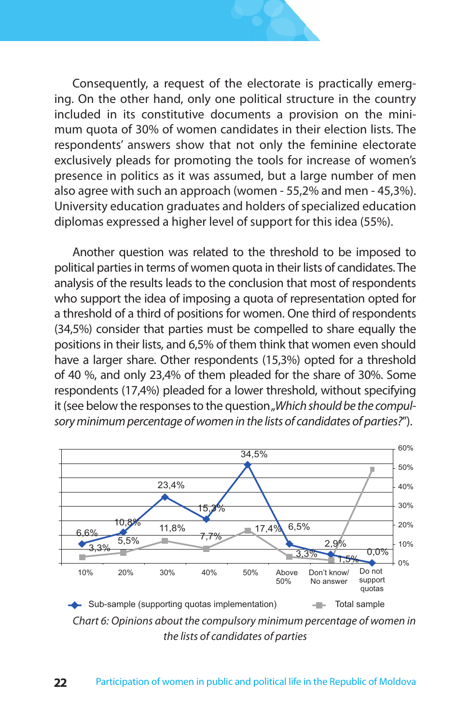Consequently, a request of the electorate is practically emerging. On the other hand, only one political structure in the country included in its constitutive documents a provision on the minimum quota of 30% of women candidates in their election lists. The respondents' answers show that not only the feminine electorate exclusively pleads for promoting the tools for increase of women's presence in politics as it was assumed, but a large number of men also agree with such an approach (women - 55,2% and men - 45,3%). University education graduates and holders of specialized education diplomas expressed a higher level of support for this idea (55%).

Another question was related to the threshold to be imposed to political parties in terms of women quota in their lists of candidates. The analysis of the results leads to the conclusion that most of respondents who support the idea of imposing a quota of representation opted for a threshold of a third of positions for women. One third of respondents (34,5%) consider that parties must be compelled to share equally the positions in their lists, and 6,5% of them think that women even should have a larger share. Other respondents (15,3%) opted for a threshold of 40 %, and only 23,4% of them pleaded for the share of 30%. Some respondents (17,4%) pleaded for a lower threshold, without specifying it (see below the responses to the question "Which should be the compul*sory minimum percentage of women in the lists of candidates of parties?*").



*Chart 6: Opinions about the compulsory minimum percentage of women in the lists of candidates of parties*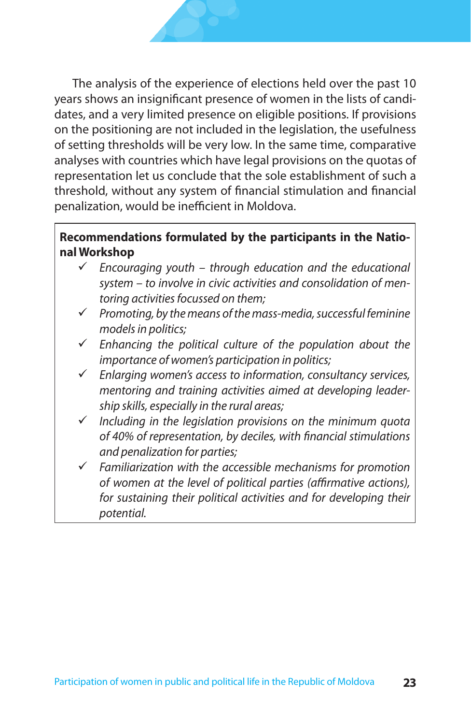The analysis of the experience of elections held over the past 10 years shows an insignificant presence of women in the lists of candidates, and a very limited presence on eligible positions. If provisions on the positioning are not included in the legislation, the usefulness of setting thresholds will be very low. In the same time, comparative analyses with countries which have legal provisions on the quotas of representation let us conclude that the sole establishment of such a threshold, without any system of financial stimulation and financial penalization, would be inefficient in Moldova.

#### **Recommendations formulated by the participants in the National Workshop**

- *Encouraging youth through education and the educational system – to involve in civic activities and consolidation of mentoring activities focussed on them;*
- *Promoting, by the means of the mass-media, successful feminine models in politics;*
- *Enhancing the political culture of the population about the importance of women's participation in politics;*
- *Enlarging women's access to information, consultancy services, mentoring and training activities aimed at developing leadership skills, especially in the rural areas;*
- *Including in the legislation provisions on the minimum quota of 40% of representation, by deciles, with financial stimulations and penalization for parties;*
- *Familiarization with the accessible mechanisms for promotion of women at the level of political parties (affirmative actions), for sustaining their political activities and for developing their potential.*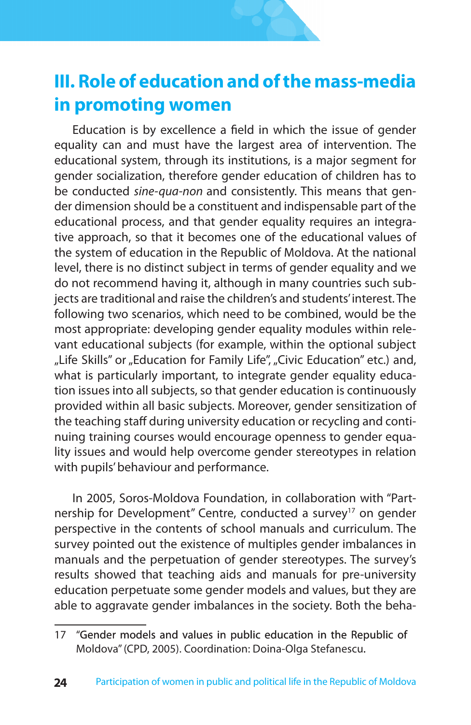# **III. Role of education and ofthe mass-media in promoting women**

Education is by excellence a field in which the issue of gender equality can and must have the largest area of intervention. The educational system, through its institutions, is a major segment for gender socialization, therefore gender education of children has to be conducted *sine-qua-non* and consistently. This means that gender dimension should be a constituent and indispensable part of the educational process, and that gender equality requires an integrative approach, so that it becomes one of the educational values of the system of education in the Republic of Moldova. At the national level, there is no distinct subject in terms of gender equality and we do not recommend having it, although in many countries such subjects are traditional and raise the children's and students' interest. The following two scenarios, which need to be combined, would be the most appropriate: developing gender equality modules within relevant educational subjects (for example, within the optional subject "Life Skills" or "Education for Family Life", "Civic Education" etc.) and, what is particularly important, to integrate gender equality education issues into all subjects, so that gender education is continuously provided within all basic subjects. Moreover, gender sensitization of the teaching staff during university education or recycling and continuing training courses would encourage openness to gender equality issues and would help overcome gender stereotypes in relation with pupils' behaviour and performance.

In 2005, Soros-Moldova Foundation, in collaboration with "Partnership for Development" Centre, conducted a survey<sup>17</sup> on gender perspective in the contents of school manuals and curriculum. The survey pointed out the existence of multiples gender imbalances in manuals and the perpetuation of gender stereotypes. The survey's results showed that teaching aids and manuals for pre-university education perpetuate some gender models and values, but they are able to aggravate gender imbalances in the society. Both the beha-

<sup>17 &</sup>quot;Gender models and values in public education in the Republic of Moldova" (CPD, 2005). Coordination: Doina-Olga Stefanescu.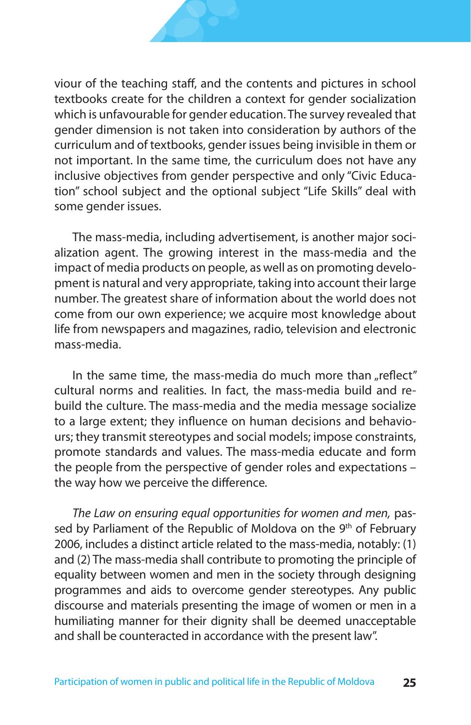viour of the teaching staff, and the contents and pictures in school textbooks create for the children a context for gender socialization which is unfavourable for gender education. The survey revealed that gender dimension is not taken into consideration by authors of the curriculum and of textbooks, gender issues being invisible in them or not important. In the same time, the curriculum does not have any inclusive objectives from gender perspective and only "Civic Education" school subject and the optional subject "Life Skills" deal with some gender issues.

The mass-media, including advertisement, is another major socialization agent. The growing interest in the mass-media and the impact of media products on people, as well as on promoting development is natural and very appropriate, taking into account their large number. The greatest share of information about the world does not come from our own experience; we acquire most knowledge about life from newspapers and magazines, radio, television and electronic mass-media.

In the same time, the mass-media do much more than "reflect" cultural norms and realities. In fact, the mass-media build and rebuild the culture. The mass-media and the media message socialize to a large extent; they influence on human decisions and behaviours; they transmit stereotypes and social models; impose constraints, promote standards and values. The mass-media educate and form the people from the perspective of gender roles and expectations – the way how we perceive the difference*.*

*The Law on ensuring equal opportunities for women and men,* passed by Parliament of the Republic of Moldova on the 9<sup>th</sup> of February 2006, includes a distinct article related to the mass-media, notably: (1) and (2) The mass-media shall contribute to promoting the principle of equality between women and men in the society through designing programmes and aids to overcome gender stereotypes. Any public discourse and materials presenting the image of women or men in a humiliating manner for their dignity shall be deemed unacceptable and shall be counteracted in accordance with the present law".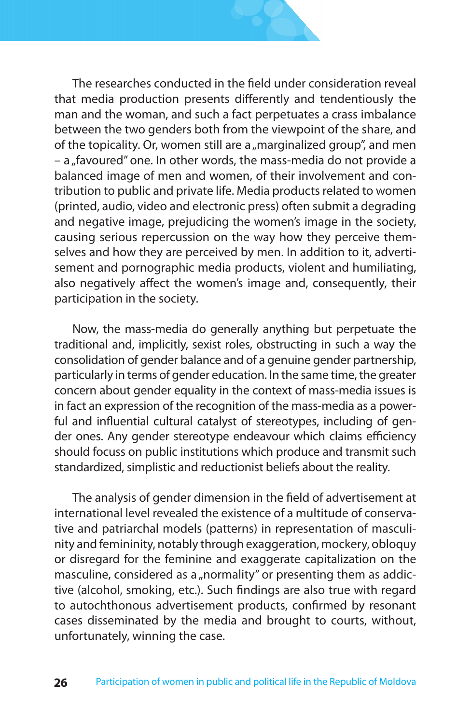The researches conducted in the field under consideration reveal that media production presents differently and tendentiously the man and the woman, and such a fact perpetuates a crass imbalance between the two genders both from the viewpoint of the share, and of the topicality. Or, women still are a "marginalized group", and men  $-$  a "favoured" one. In other words, the mass-media do not provide a balanced image of men and women, of their involvement and contribution to public and private life. Media products related to women (printed, audio, video and electronic press) often submit a degrading and negative image, prejudicing the women's image in the society, causing serious repercussion on the way how they perceive themselves and how they are perceived by men. In addition to it, advertisement and pornographic media products, violent and humiliating, also negatively affect the women's image and, consequently, their participation in the society.

Now, the mass-media do generally anything but perpetuate the traditional and, implicitly, sexist roles, obstructing in such a way the consolidation of gender balance and of a genuine gender partnership, particularly in terms of gender education. In the same time, the greater concern about gender equality in the context of mass-media issues is in fact an expression of the recognition of the mass-media as a powerful and influential cultural catalyst of stereotypes, including of gender ones. Any gender stereotype endeavour which claims efficiency should focuss on public institutions which produce and transmit such standardized, simplistic and reductionist beliefs about the reality.

The analysis of gender dimension in the field of advertisement at international level revealed the existence of a multitude of conservative and patriarchal models (patterns) in representation of masculinity and femininity, notably through exaggeration, mockery, obloquy or disregard for the feminine and exaggerate capitalization on the masculine, considered as a "normality" or presenting them as addictive (alcohol, smoking, etc.). Such findings are also true with regard to autochthonous advertisement products, confirmed by resonant cases disseminated by the media and brought to courts, without, unfortunately, winning the case.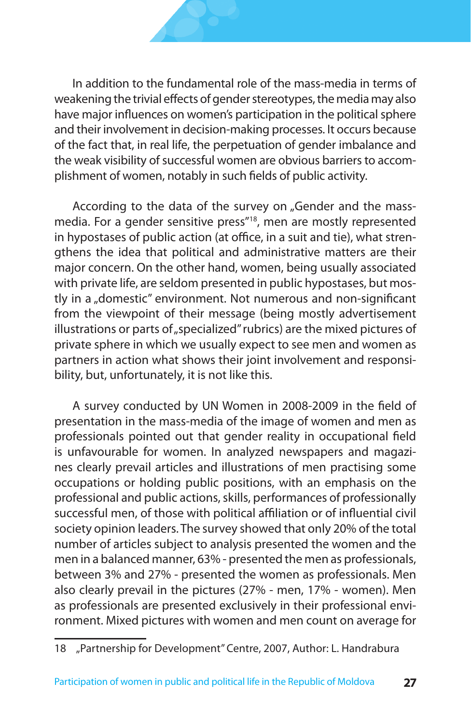In addition to the fundamental role of the mass-media in terms of weakening the trivial effects of gender stereotypes, the media may also have major influences on women's participation in the political sphere and their involvement in decision-making processes. It occurs because of the fact that, in real life, the perpetuation of gender imbalance and the weak visibility of successful women are obvious barriers to accomplishment of women, notably in such fields of public activity.

According to the data of the survey on "Gender and the massmedia. For a gender sensitive press"18, men are mostly represented in hypostases of public action (at office, in a suit and tie), what strengthens the idea that political and administrative matters are their major concern. On the other hand, women, being usually associated with private life, are seldom presented in public hypostases, but mostly in a "domestic" environment. Not numerous and non-significant from the viewpoint of their message (being mostly advertisement illustrations or parts of "specialized" rubrics) are the mixed pictures of private sphere in which we usually expect to see men and women as partners in action what shows their joint involvement and responsibility, but, unfortunately, it is not like this.

A survey conducted by UN Women in 2008-2009 in the field of presentation in the mass-media of the image of women and men as professionals pointed out that gender reality in occupational field is unfavourable for women. In analyzed newspapers and magazines clearly prevail articles and illustrations of men practising some occupations or holding public positions, with an emphasis on the professional and public actions, skills, performances of professionally successful men, of those with political affiliation or of influential civil society opinion leaders. The survey showed that only 20% of the total number of articles subject to analysis presented the women and the men in a balanced manner, 63% - presented the men as professionals, between 3% and 27% - presented the women as professionals. Men also clearly prevail in the pictures (27% - men, 17% - women). Men as professionals are presented exclusively in their professional environment. Mixed pictures with women and men count on average for

<sup>18</sup> "Partnership for Development" Centre, 2007, Author: L. Handrabura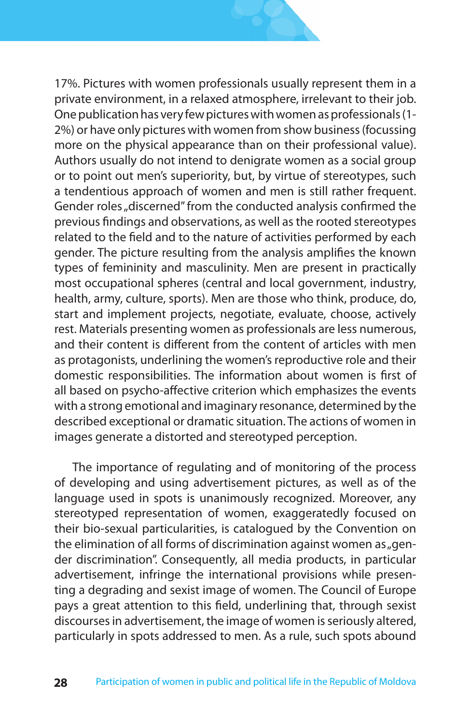17%. Pictures with women professionals usually represent them in a private environment, in a relaxed atmosphere, irrelevant to their job. One publication has very few pictures with women as professionals (1- 2%) or have only pictures with women from show business (focussing more on the physical appearance than on their professional value). Authors usually do not intend to denigrate women as a social group or to point out men's superiority, but, by virtue of stereotypes, such a tendentious approach of women and men is still rather frequent. Gender roles "discerned" from the conducted analysis confirmed the previous findings and observations, as well as the rooted stereotypes related to the field and to the nature of activities performed by each gender. The picture resulting from the analysis amplifies the known types of femininity and masculinity. Men are present in practically most occupational spheres (central and local government, industry, health, army, culture, sports). Men are those who think, produce, do, start and implement projects, negotiate, evaluate, choose, actively rest. Materials presenting women as professionals are less numerous, and their content is different from the content of articles with men as protagonists, underlining the women's reproductive role and their domestic responsibilities. The information about women is first of all based on psycho-affective criterion which emphasizes the events with a strong emotional and imaginary resonance, determined by the described exceptional or dramatic situation. The actions of women in images generate a distorted and stereotyped perception.

The importance of regulating and of monitoring of the process of developing and using advertisement pictures, as well as of the language used in spots is unanimously recognized. Moreover, any stereotyped representation of women, exaggeratedly focused on their bio-sexual particularities, is catalogued by the Convention on the elimination of all forms of discrimination against women as  $_{n}$  gender discrimination". Consequently, all media products, in particular advertisement, infringe the international provisions while presenting a degrading and sexist image of women. The Council of Europe pays a great attention to this field, underlining that, through sexist discourses in advertisement, the image of women is seriously altered, particularly in spots addressed to men. As a rule, such spots abound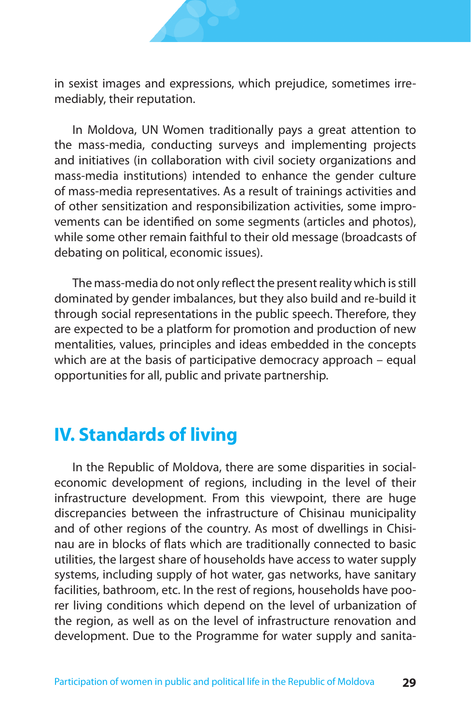

in sexist images and expressions, which prejudice, sometimes irremediably, their reputation.

In Moldova, UN Women traditionally pays a great attention to the mass-media, conducting surveys and implementing projects and initiatives (in collaboration with civil society organizations and mass-media institutions) intended to enhance the gender culture of mass-media representatives. As a result of trainings activities and of other sensitization and responsibilization activities, some improvements can be identified on some segments (articles and photos), while some other remain faithful to their old message (broadcasts of debating on political, economic issues).

The mass-media do not only reflect the present reality which is still dominated by gender imbalances, but they also build and re-build it through social representations in the public speech. Therefore, they are expected to be a platform for promotion and production of new mentalities, values, principles and ideas embedded in the concepts which are at the basis of participative democracy approach – equal opportunities for all, public and private partnership.

### **IV. Standards of living**

In the Republic of Moldova, there are some disparities in socialeconomic development of regions, including in the level of their infrastructure development. From this viewpoint, there are huge discrepancies between the infrastructure of Chisinau municipality and of other regions of the country. As most of dwellings in Chisinau are in blocks of flats which are traditionally connected to basic utilities, the largest share of households have access to water supply systems, including supply of hot water, gas networks, have sanitary facilities, bathroom, etc. In the rest of regions, households have poorer living conditions which depend on the level of urbanization of the region, as well as on the level of infrastructure renovation and development. Due to the Programme for water supply and sanita-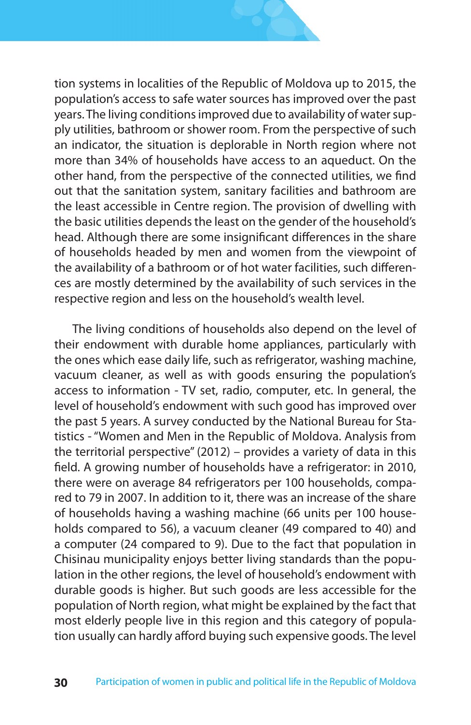

tion systems in localities of the Republic of Moldova up to 2015, the population's access to safe water sources has improved over the past years. The living conditions improved due to availability of water supply utilities, bathroom or shower room. From the perspective of such an indicator, the situation is deplorable in North region where not more than 34% of households have access to an aqueduct. On the other hand, from the perspective of the connected utilities, we find out that the sanitation system, sanitary facilities and bathroom are the least accessible in Centre region. The provision of dwelling with the basic utilities depends the least on the gender of the household's head. Although there are some insignificant differences in the share of households headed by men and women from the viewpoint of the availability of a bathroom or of hot water facilities, such differences are mostly determined by the availability of such services in the respective region and less on the household's wealth level.

The living conditions of households also depend on the level of their endowment with durable home appliances, particularly with the ones which ease daily life, such as refrigerator, washing machine, vacuum cleaner, as well as with goods ensuring the population's access to information - TV set, radio, computer, etc. In general, the level of household's endowment with such good has improved over the past 5 years. A survey conducted by the National Bureau for Statistics - "Women and Men in the Republic of Moldova. Analysis from the territorial perspective" (2012) – provides a variety of data in this field. A growing number of households have a refrigerator: in 2010, there were on average 84 refrigerators per 100 households, compared to 79 in 2007. In addition to it, there was an increase of the share of households having a washing machine (66 units per 100 households compared to 56), a vacuum cleaner (49 compared to 40) and a computer (24 compared to 9). Due to the fact that population in Chisinau municipality enjoys better living standards than the population in the other regions, the level of household's endowment with durable goods is higher. But such goods are less accessible for the population of North region, what might be explained by the fact that most elderly people live in this region and this category of population usually can hardly afford buying such expensive goods. The level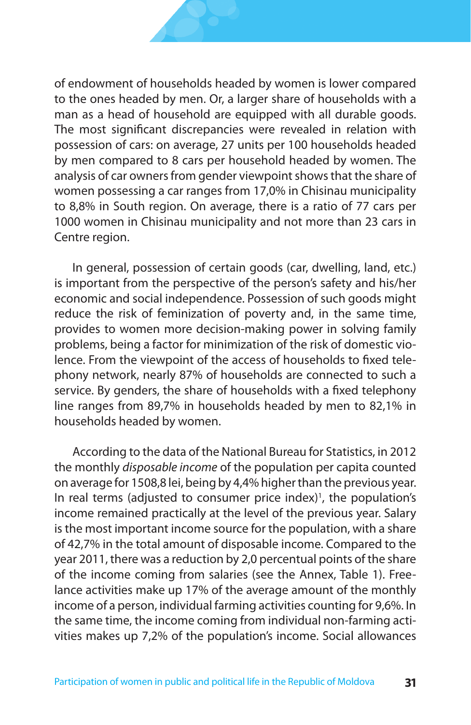of endowment of households headed by women is lower compared to the ones headed by men. Or, a larger share of households with a man as a head of household are equipped with all durable goods. The most significant discrepancies were revealed in relation with possession of cars: on average, 27 units per 100 households headed by men compared to 8 cars per household headed by women. The analysis of car owners from gender viewpoint shows that the share of women possessing a car ranges from 17,0% in Chisinau municipality to 8,8% in South region. On average, there is a ratio of 77 cars per 1000 women in Chisinau municipality and not more than 23 cars in Centre region.

In general, possession of certain goods (car, dwelling, land, etc.) is important from the perspective of the person's safety and his/her economic and social independence. Possession of such goods might reduce the risk of feminization of poverty and, in the same time, provides to women more decision-making power in solving family problems, being a factor for minimization of the risk of domestic violence. From the viewpoint of the access of households to fixed telephony network, nearly 87% of households are connected to such a service. By genders, the share of households with a fixed telephony line ranges from 89,7% in households headed by men to 82,1% in households headed by women.

According to the data of the National Bureau for Statistics, in 2012 the monthly *disposable income* of the population per capita counted on average for 1508,8 lei, being by 4,4% higher than the previous year. In real terms (adjusted to consumer price index)<sup>1</sup>, the population's income remained practically at the level of the previous year. Salary is the most important income source for the population, with a share of 42,7% in the total amount of disposable income. Compared to the year 2011, there was a reduction by 2,0 percentual points of the share of the income coming from salaries (see the Annex, Table 1). Freelance activities make up 17% of the average amount of the monthly income of a person, individual farming activities counting for 9,6%. In the same time, the income coming from individual non-farming activities makes up 7,2% of the population's income. Social allowances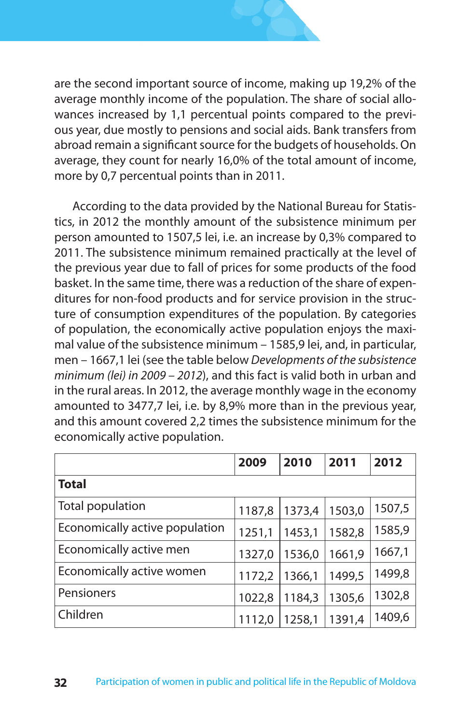

are the second important source of income, making up 19,2% of the average monthly income of the population. The share of social allowances increased by 1,1 percentual points compared to the previous year, due mostly to pensions and social aids. Bank transfers from abroad remain a significant source for the budgets of households. On average, they count for nearly 16,0% of the total amount of income, more by 0,7 percentual points than in 2011.

According to the data provided by the National Bureau for Statistics, in 2012 the monthly amount of the subsistence minimum per person amounted to 1507,5 lei, i.e. an increase by 0,3% compared to 2011. The subsistence minimum remained practically at the level of the previous year due to fall of prices for some products of the food basket. In the same time, there was a reduction of the share of expenditures for non-food products and for service provision in the structure of consumption expenditures of the population. By categories of population, the economically active population enjoys the maximal value of the subsistence minimum – 1585,9 lei, and, in particular, men – 1667,1 lei (see the table below *Developments of the subsistence minimum (lei) in 2009 – 2012*), and this fact is valid both in urban and in the rural areas. In 2012, the average monthly wage in the economy amounted to 3477,7 lei, i.e. by 8,9% more than in the previous year, and this amount covered 2,2 times the subsistence minimum for the economically active population.

|                                | 2009   | 2010   | 2011   | 2012   |  |  |  |
|--------------------------------|--------|--------|--------|--------|--|--|--|
| <b>Total</b>                   |        |        |        |        |  |  |  |
| Total population               | 1187,8 | 1373,4 | 1503,0 | 1507,5 |  |  |  |
| Economically active population | 1251,1 | 1453.1 | 1582.8 | 1585,9 |  |  |  |
| Economically active men        | 1327,0 | 1536,0 | 1661,9 | 1667,1 |  |  |  |
| Economically active women      | 1172,2 | 1366,1 | 1499.5 | 1499,8 |  |  |  |
| Pensioners                     | 1022,8 | 1184.3 | 1305.6 | 1302,8 |  |  |  |
| Children                       | 1112,0 | 1258,1 | 1391.4 | 1409,6 |  |  |  |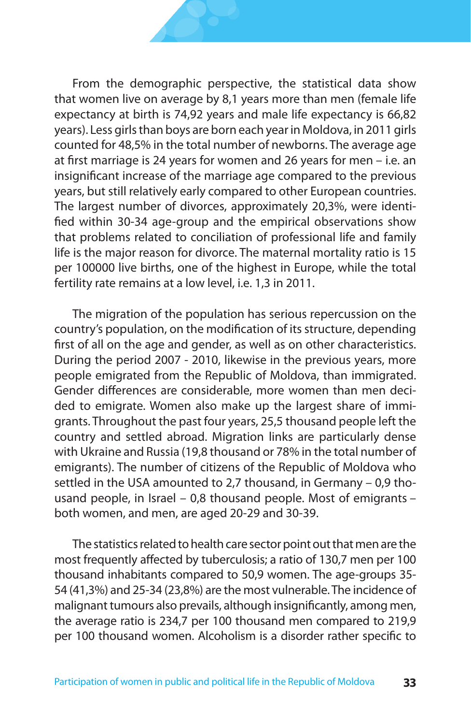From the demographic perspective, the statistical data show that women live on average by 8,1 years more than men (female life expectancy at birth is 74,92 years and male life expectancy is 66,82 years). Less girls than boys are born each year in Moldova, in 2011 girls counted for 48,5% in the total number of newborns. The average age at first marriage is 24 years for women and 26 years for men – i.e. an insignificant increase of the marriage age compared to the previous years, but still relatively early compared to other European countries. The largest number of divorces, approximately 20,3%, were identified within 30-34 age-group and the empirical observations show that problems related to conciliation of professional life and family life is the major reason for divorce. The maternal mortality ratio is 15 per 100000 live births, one of the highest in Europe, while the total fertility rate remains at a low level, i.e. 1,3 in 2011.

The migration of the population has serious repercussion on the country's population, on the modification of its structure, depending first of all on the age and gender, as well as on other characteristics. During the period 2007 - 2010, likewise in the previous years, more people emigrated from the Republic of Moldova, than immigrated. Gender differences are considerable, more women than men decided to emigrate. Women also make up the largest share of immigrants. Throughout the past four years, 25,5 thousand people left the country and settled abroad. Migration links are particularly dense with Ukraine and Russia (19,8 thousand or 78% in the total number of emigrants). The number of citizens of the Republic of Moldova who settled in the USA amounted to 2,7 thousand, in Germany – 0,9 thousand people, in Israel – 0,8 thousand people. Most of emigrants – both women, and men, are aged 20-29 and 30-39.

The statistics related to health care sector point out that men are the most frequently affected by tuberculosis; a ratio of 130,7 men per 100 thousand inhabitants compared to 50,9 women. The age-groups 35- 54 (41,3%) and 25-34 (23,8%) are the most vulnerable. The incidence of malignant tumours also prevails, although insignificantly, among men, the average ratio is 234,7 per 100 thousand men compared to 219,9 per 100 thousand women. Alcoholism is a disorder rather specific to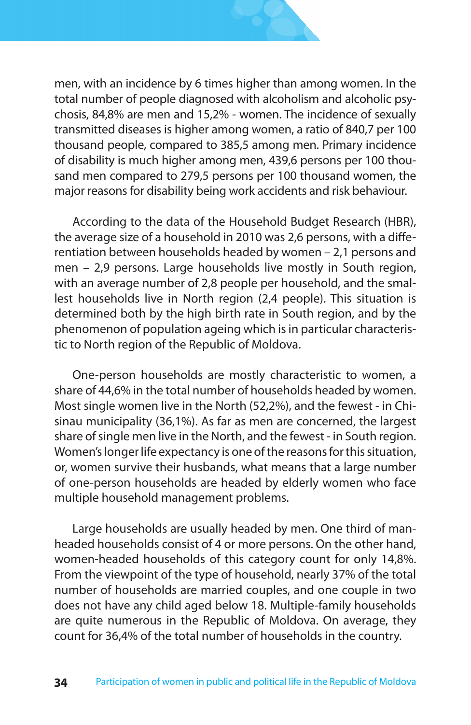

men, with an incidence by 6 times higher than among women. In the total number of people diagnosed with alcoholism and alcoholic psychosis, 84,8% are men and 15,2% - women. The incidence of sexually transmitted diseases is higher among women, a ratio of 840,7 per 100 thousand people, compared to 385,5 among men. Primary incidence of disability is much higher among men, 439,6 persons per 100 thousand men compared to 279,5 persons per 100 thousand women, the major reasons for disability being work accidents and risk behaviour.

According to the data of the Household Budget Research (HBR), the average size of a household in 2010 was 2,6 persons, with a differentiation between households headed by women – 2,1 persons and men – 2,9 persons. Large households live mostly in South region, with an average number of 2,8 people per household, and the smallest households live in North region (2,4 people). This situation is determined both by the high birth rate in South region, and by the phenomenon of population ageing which is in particular characteristic to North region of the Republic of Moldova.

One-person households are mostly characteristic to women, a share of 44,6% in the total number of households headed by women. Most single women live in the North (52,2%), and the fewest - in Chisinau municipality (36,1%). As far as men are concerned, the largest share of single men live in the North, and the fewest - in South region. Women's longer life expectancy is one of the reasons for this situation, or, women survive their husbands, what means that a large number of one-person households are headed by elderly women who face multiple household management problems.

Large households are usually headed by men. One third of manheaded households consist of 4 or more persons. On the other hand, women-headed households of this category count for only 14,8%. From the viewpoint of the type of household, nearly 37% of the total number of households are married couples, and one couple in two does not have any child aged below 18. Multiple-family households are quite numerous in the Republic of Moldova. On average, they count for 36,4% of the total number of households in the country.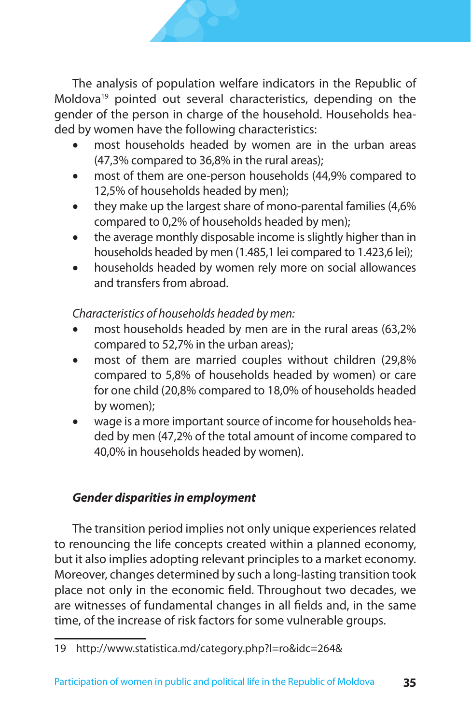The analysis of population welfare indicators in the Republic of Moldova<sup>19</sup> pointed out several characteristics, depending on the gender of the person in charge of the household. Households headed by women have the following characteristics:

- most households headed by women are in the urban areas (47,3% compared to 36,8% in the rural areas);
- most of them are one-person households (44,9% compared to 12,5% of households headed by men);
- they make up the largest share of mono-parental families (4,6%) compared to 0,2% of households headed by men);
- the average monthly disposable income is slightly higher than in households headed by men (1.485,1 lei compared to 1.423,6 lei);
- households headed by women rely more on social allowances and transfers from abroad.

*Characteristics of households headed by men:*

- most households headed by men are in the rural areas (63,2% compared to 52,7% in the urban areas);
- most of them are married couples without children (29,8%) compared to 5,8% of households headed by women) or care for one child (20,8% compared to 18,0% of households headed by women);
- wage is a more important source of income for households headed by men (47,2% of the total amount of income compared to 40,0% in households headed by women).

### *Gender disparities in employment*

The transition period implies not only unique experiences related to renouncing the life concepts created within a planned economy, but it also implies adopting relevant principles to a market economy. Moreover, changes determined by such a long-lasting transition took place not only in the economic field. Throughout two decades, we are witnesses of fundamental changes in all fields and, in the same time, of the increase of risk factors for some vulnerable groups.

<sup>19</sup> http://www.statistica.md/category.php?l=ro&idc=264&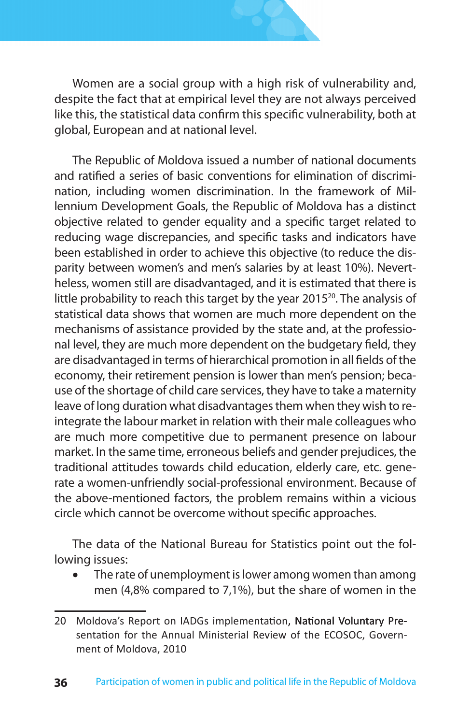

Women are a social group with a high risk of vulnerability and, despite the fact that at empirical level they are not always perceived like this, the statistical data confirm this specific vulnerability, both at global, European and at national level.

The Republic of Moldova issued a number of national documents and ratified a series of basic conventions for elimination of discrimination, including women discrimination. In the framework of Millennium Development Goals, the Republic of Moldova has a distinct objective related to gender equality and a specific target related to reducing wage discrepancies, and specific tasks and indicators have been established in order to achieve this objective (to reduce the disparity between women's and men's salaries by at least 10%). Nevertheless, women still are disadvantaged, and it is estimated that there is little probability to reach this target by the year 2015<sup>20</sup>. The analysis of statistical data shows that women are much more dependent on the mechanisms of assistance provided by the state and, at the professional level, they are much more dependent on the budgetary field, they are disadvantaged in terms of hierarchical promotion in all fields of the economy, their retirement pension is lower than men's pension; because of the shortage of child care services, they have to take a maternity leave of long duration what disadvantages them when they wish to reintegrate the labour market in relation with their male colleagues who are much more competitive due to permanent presence on labour market. In the same time, erroneous beliefs and gender prejudices, the traditional attitudes towards child education, elderly care, etc. generate a women-unfriendly social-professional environment. Because of the above-mentioned factors, the problem remains within a vicious circle which cannot be overcome without specific approaches.

The data of the National Bureau for Statistics point out the following issues:

The rate of unemployment is lower among women than among men (4,8% compared to 7,1%), but the share of women in the

<sup>20</sup> Moldova's Report on IADGs implementation, National Voluntary Presentation for the Annual Ministerial Review of the ECOSOC, Government of Moldova, 2010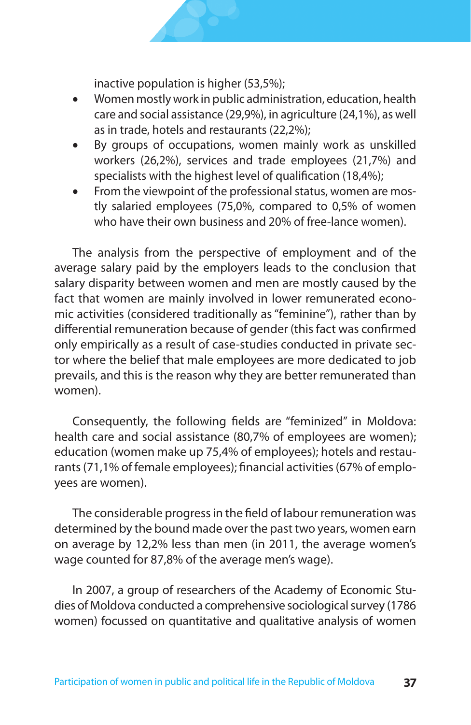inactive population is higher (53,5%);

- Women mostly work in public administration, education, health care and social assistance (29,9%), in agriculture (24,1%), as well as in trade, hotels and restaurants (22,2%);
- By groups of occupations, women mainly work as unskilled workers (26,2%), services and trade employees (21,7%) and specialists with the highest level of qualification (18,4%);
- From the viewpoint of the professional status, women are mostly salaried employees (75,0%, compared to 0,5% of women who have their own business and 20% of free-lance women).

The analysis from the perspective of employment and of the average salary paid by the employers leads to the conclusion that salary disparity between women and men are mostly caused by the fact that women are mainly involved in lower remunerated economic activities (considered traditionally as "feminine"), rather than by differential remuneration because of gender (this fact was confirmed only empirically as a result of case-studies conducted in private sector where the belief that male employees are more dedicated to job prevails, and this is the reason why they are better remunerated than women).

Consequently, the following fields are "feminized" in Moldova: health care and social assistance (80,7% of employees are women); education (women make up 75,4% of employees); hotels and restaurants (71,1% of female employees); financial activities (67% of employees are women).

The considerable progress in the field of labour remuneration was determined by the bound made over the past two years, women earn on average by 12,2% less than men (in 2011, the average women's wage counted for 87,8% of the average men's wage).

In 2007, a group of researchers of the Academy of Economic Studies of Moldova conducted a comprehensive sociological survey (1786 women) focussed on quantitative and qualitative analysis of women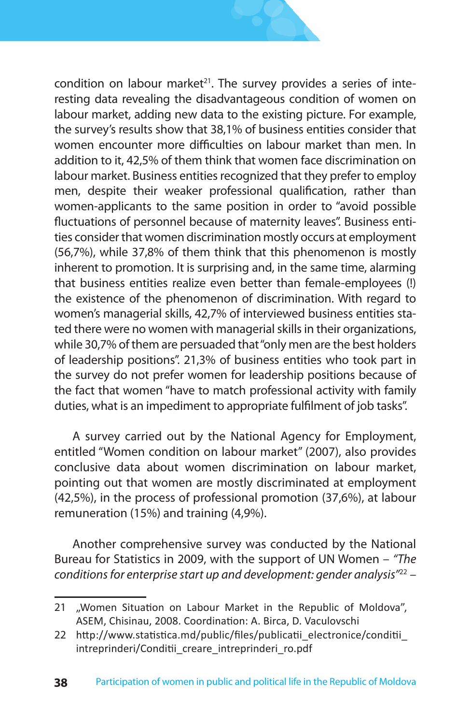condition on labour market<sup>21</sup>. The survey provides a series of interesting data revealing the disadvantageous condition of women on labour market, adding new data to the existing picture. For example, the survey's results show that 38,1% of business entities consider that women encounter more difficulties on labour market than men. In addition to it, 42,5% of them think that women face discrimination on labour market. Business entities recognized that they prefer to employ men, despite their weaker professional qualification, rather than women-applicants to the same position in order to "avoid possible fluctuations of personnel because of maternity leaves". Business entities consider that women discrimination mostly occurs at employment (56,7%), while 37,8% of them think that this phenomenon is mostly inherent to promotion. It is surprising and, in the same time, alarming that business entities realize even better than female-employees (!) the existence of the phenomenon of discrimination. With regard to women's managerial skills, 42,7% of interviewed business entities stated there were no women with managerial skills in their organizations, while 30,7% of them are persuaded that "only men are the best holders of leadership positions". 21,3% of business entities who took part in the survey do not prefer women for leadership positions because of the fact that women "have to match professional activity with family duties, what is an impediment to appropriate fulfilment of job tasks".

A survey carried out by the National Agency for Employment, entitled "Women condition on labour market" (2007), also provides conclusive data about women discrimination on labour market, pointing out that women are mostly discriminated at employment (42,5%), in the process of professional promotion (37,6%), at labour remuneration (15%) and training (4,9%).

Another comprehensive survey was conducted by the National Bureau for Statistics in 2009, with the support of UN Women – *"The conditions for enterprise start up and development: gender analysis"*22 –

<sup>21 &</sup>quot;Women Situation on Labour Market in the Republic of Moldova", ASEM, Chisinau, 2008. Coordination: A. Birca, D. Vaculovschi

<sup>22</sup> http://www.statistica.md/public/files/publicatii\_electronice/conditii intreprinderi/Conditii creare intreprinderi ro.pdf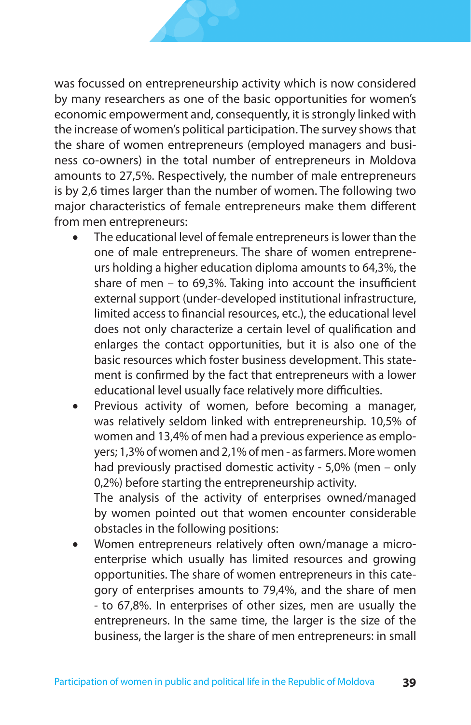was focussed on entrepreneurship activity which is now considered by many researchers as one of the basic opportunities for women's economic empowerment and, consequently, it is strongly linked with the increase of women's political participation. The survey shows that the share of women entrepreneurs (employed managers and business co-owners) in the total number of entrepreneurs in Moldova amounts to 27,5%. Respectively, the number of male entrepreneurs is by 2,6 times larger than the number of women. The following two major characteristics of female entrepreneurs make them different from men entrepreneurs:

- The educational level of female entrepreneurs is lower than the one of male entrepreneurs. The share of women entrepreneurs holding a higher education diploma amounts to 64,3%, the share of men – to 69,3%. Taking into account the insufficient external support (under-developed institutional infrastructure, limited access to financial resources, etc.), the educational level does not only characterize a certain level of qualification and enlarges the contact opportunities, but it is also one of the basic resources which foster business development. This statement is confirmed by the fact that entrepreneurs with a lower educational level usually face relatively more difficulties.
- Previous activity of women, before becoming a manager, was relatively seldom linked with entrepreneurship. 10,5% of women and 13,4% of men had a previous experience as employers; 1,3% of women and 2,1% of men - as farmers. More women had previously practised domestic activity - 5,0% (men – only 0,2%) before starting the entrepreneurship activity.

The analysis of the activity of enterprises owned/managed by women pointed out that women encounter considerable obstacles in the following positions:

Women entrepreneurs relatively often own/manage a microenterprise which usually has limited resources and growing opportunities. The share of women entrepreneurs in this category of enterprises amounts to 79,4%, and the share of men - to 67,8%. In enterprises of other sizes, men are usually the entrepreneurs. In the same time, the larger is the size of the business, the larger is the share of men entrepreneurs: in small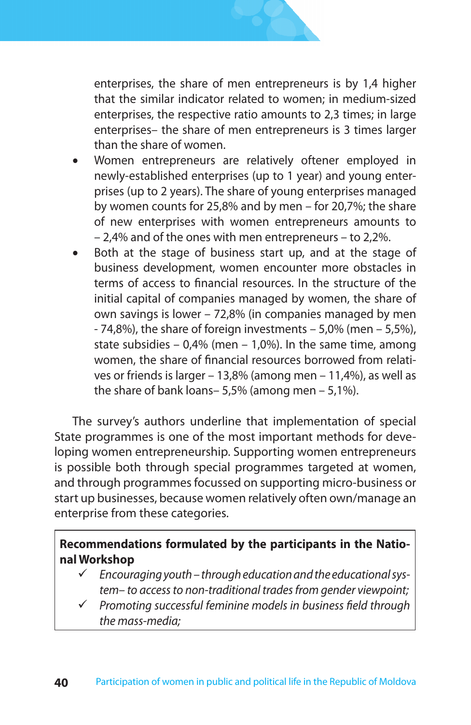

enterprises, the share of men entrepreneurs is by 1,4 higher that the similar indicator related to women; in medium-sized enterprises, the respective ratio amounts to 2,3 times; in large enterprises– the share of men entrepreneurs is 3 times larger than the share of women.

- Women entrepreneurs are relatively oftener employed in newly-established enterprises (up to 1 year) and young enterprises (up to 2 years). The share of young enterprises managed by women counts for 25,8% and by men – for 20,7%; the share of new enterprises with women entrepreneurs amounts to – 2,4% and of the ones with men entrepreneurs – to 2,2%.
- Both at the stage of business start up, and at the stage of business development, women encounter more obstacles in terms of access to financial resources. In the structure of the initial capital of companies managed by women, the share of own savings is lower – 72,8% (in companies managed by men - 74,8%), the share of foreign investments – 5,0% (men – 5,5%), state subsidies  $-0.4\%$  (men  $-1.0\%$ ). In the same time, among women, the share of financial resources borrowed from relatives or friends is larger – 13,8% (among men – 11,4%), as well as the share of bank loans– 5,5% (among men – 5,1%).

The survey's authors underline that implementation of special State programmes is one of the most important methods for developing women entrepreneurship. Supporting women entrepreneurs is possible both through special programmes targeted at women, and through programmes focussed on supporting micro-business or start up businesses, because women relatively often own/manage an enterprise from these categories.

#### **Recommendations formulated by the participants in the National Workshop**

- *Encouraging youth through education and the educational system– to access to non-traditional trades from gender viewpoint;*
- *Promoting successful feminine models in business field through the mass-media;*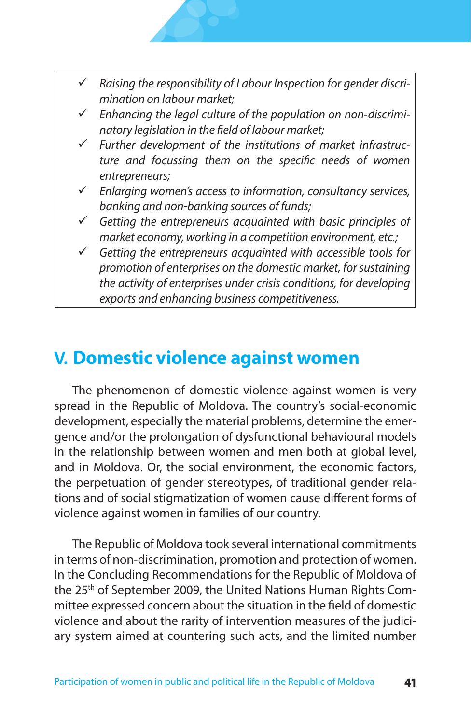

- *Enhancing the legal culture of the population on non-discriminatory legislation in the field of labour market;*
- *Further development of the institutions of market infrastructure and focussing them on the specific needs of women entrepreneurs;*
- *Enlarging women's access to information, consultancy services, banking and non-banking sources of funds;*
- *Getting the entrepreneurs acquainted with basic principles of market economy, working in a competition environment, etc.;*
- *Getting the entrepreneurs acquainted with accessible tools for promotion of enterprises on the domestic market, for sustaining the activity of enterprises under crisis conditions, for developing exports and enhancing business competitiveness.*

### **V. Domestic violence against women**

The phenomenon of domestic violence against women is very spread in the Republic of Moldova. The country's social-economic development, especially the material problems, determine the emergence and/or the prolongation of dysfunctional behavioural models in the relationship between women and men both at global level, and in Moldova. Or, the social environment, the economic factors, the perpetuation of gender stereotypes, of traditional gender relations and of social stigmatization of women cause different forms of violence against women in families of our country.

The Republic of Moldova took several international commitments in terms of non-discrimination, promotion and protection of women. In the Concluding Recommendations for the Republic of Moldova of the 25<sup>th</sup> of September 2009, the United Nations Human Rights Committee expressed concern about the situation in the field of domestic violence and about the rarity of intervention measures of the judiciary system aimed at countering such acts, and the limited number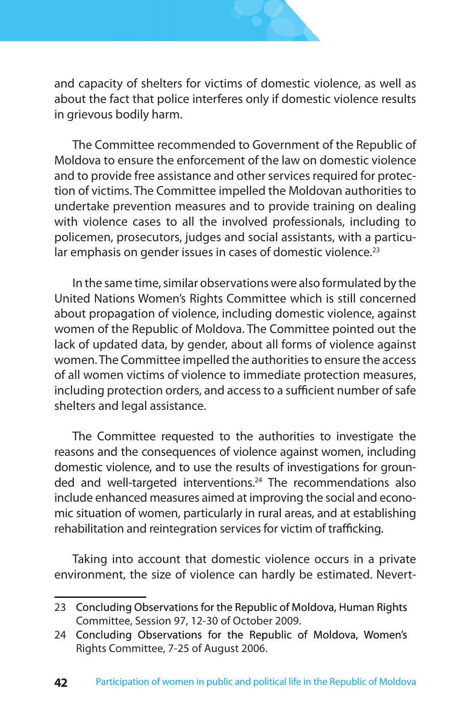

and capacity of shelters for victims of domestic violence, as well as about the fact that police interferes only if domestic violence results in grievous bodily harm.

The Committee recommended to Government of the Republic of Moldova to ensure the enforcement of the law on domestic violence and to provide free assistance and other services required for protection of victims. The Committee impelled the Moldovan authorities to undertake prevention measures and to provide training on dealing with violence cases to all the involved professionals, including to policemen, prosecutors, judges and social assistants, with a particular emphasis on gender issues in cases of domestic violence.<sup>23</sup>

In the same time, similar observations were also formulated by the United Nations Women's Rights Committee which is still concerned about propagation of violence, including domestic violence, against women of the Republic of Moldova. The Committee pointed out the lack of updated data, by gender, about all forms of violence against women. The Committee impelled the authorities to ensure the access of all women victims of violence to immediate protection measures, including protection orders, and access to a sufficient number of safe shelters and legal assistance.

The Committee requested to the authorities to investigate the reasons and the consequences of violence against women, including domestic violence, and to use the results of investigations for grounded and well-targeted interventions.<sup>24</sup> The recommendations also include enhanced measures aimed at improving the social and economic situation of women, particularly in rural areas, and at establishing rehabilitation and reintegration services for victim of trafficking.

Taking into account that domestic violence occurs in a private environment, the size of violence can hardly be estimated. Nevert-

<sup>23</sup> Concluding Observations for the Republic of Moldova, Human Rights Committee, Session 97, 12-30 of October 2009.

<sup>24</sup> Concluding Observations for the Republic of Moldova, Women's Rights Committee, 7-25 of August 2006.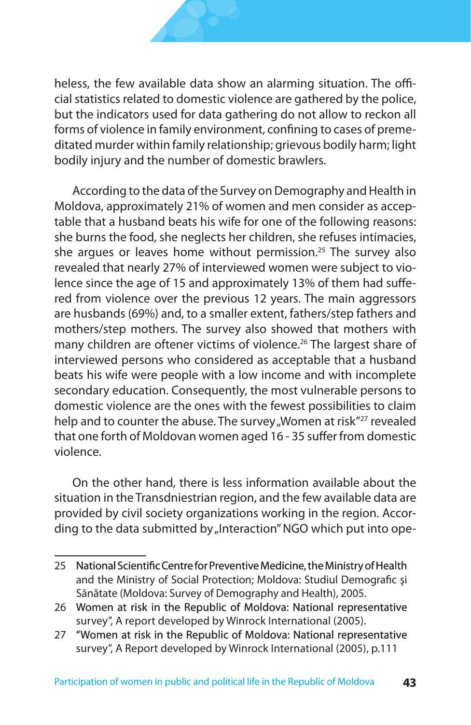heless, the few available data show an alarming situation. The official statistics related to domestic violence are gathered by the police, but the indicators used for data gathering do not allow to reckon all forms of violence in family environment, confining to cases of premeditated murder within family relationship; grievous bodily harm; light bodily injury and the number of domestic brawlers.

According to the data of the Survey on Demography and Health in Moldova, approximately 21% of women and men consider as acceptable that a husband beats his wife for one of the following reasons: she burns the food, she neglects her children, she refuses intimacies, she arques or leaves home without permission.<sup>25</sup> The survey also revealed that nearly 27% of interviewed women were subject to violence since the age of 15 and approximately 13% of them had suffered from violence over the previous 12 years. The main aggressors are husbands (69%) and, to a smaller extent, fathers/step fathers and mothers/step mothers. The survey also showed that mothers with many children are oftener victims of violence.<sup>26</sup> The largest share of interviewed persons who considered as acceptable that a husband beats his wife were people with a low income and with incomplete secondary education. Consequently, the most vulnerable persons to domestic violence are the ones with the fewest possibilities to claim help and to counter the abuse. The survey "Women at risk<sup>"27</sup> revealed that one forth of Moldovan women aged 16 - 35 suffer from domestic violence.

On the other hand, there is less information available about the situation in the Transdniestrian region, and the few available data are provided by civil society organizations working in the region. According to the data submitted by "Interaction" NGO which put into ope-

<sup>25</sup> National Scientific Centre for Preventive Medicine, the Ministry of Health and the Ministry of Social Protection; Moldova: Studiul Demografic şi Sănătate (Moldova: Survey of Demography and Health), 2005.

<sup>26</sup> Women at risk in the Republic of Moldova: National representative survey", A report developed by Winrock International (2005).

<sup>27 &</sup>quot;Women at risk in the Republic of Moldova: National representative survey", A Report developed by Winrock International (2005), p.111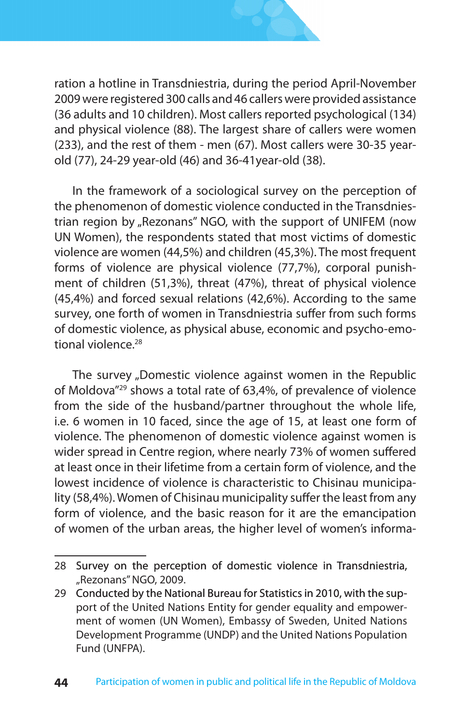

ration a hotline in Transdniestria, during the period April-November 2009 were registered 300 calls and 46 callers were provided assistance (36 adults and 10 children). Most callers reported psychological (134) and physical violence (88). The largest share of callers were women (233), and the rest of them - men (67). Most callers were 30-35 yearold (77), 24-29 year-old (46) and 36-41year-old (38).

In the framework of a sociological survey on the perception of the phenomenon of domestic violence conducted in the Transdniestrian region by "Rezonans" NGO, with the support of UNIFEM (now UN Women), the respondents stated that most victims of domestic violence are women (44,5%) and children (45,3%). The most frequent forms of violence are physical violence (77,7%), corporal punishment of children (51,3%), threat (47%), threat of physical violence (45,4%) and forced sexual relations (42,6%). According to the same survey, one forth of women in Transdniestria suffer from such forms of domestic violence, as physical abuse, economic and psycho-emotional violence.<sup>28</sup>

The survey "Domestic violence against women in the Republic of Moldova"29 shows a total rate of 63,4%, of prevalence of violence from the side of the husband/partner throughout the whole life, i.e. 6 women in 10 faced, since the age of 15, at least one form of violence. The phenomenon of domestic violence against women is wider spread in Centre region, where nearly 73% of women suffered at least once in their lifetime from a certain form of violence, and the lowest incidence of violence is characteristic to Chisinau municipality (58,4%). Women of Chisinau municipality suffer the least from any form of violence, and the basic reason for it are the emancipation of women of the urban areas, the higher level of women's informa-

<sup>28</sup> Survey on the perception of domestic violence in Transdniestria, "Rezonans" NGO, 2009.

<sup>29</sup> Conducted by the National Bureau for Statistics in 2010, with the support of the United Nations Entity for gender equality and empowerment of women (UN Women), Embassy of Sweden, United Nations Development Programme (UNDP) and the United Nations Population Fund (UNFPA).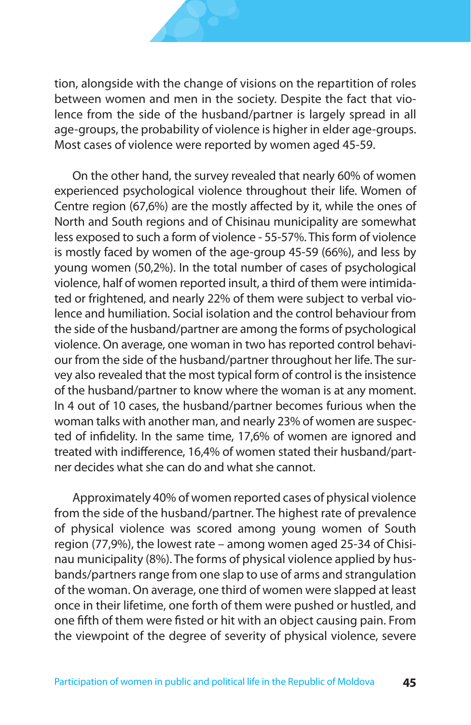tion, alongside with the change of visions on the repartition of roles between women and men in the society. Despite the fact that violence from the side of the husband/partner is largely spread in all age-groups, the probability of violence is higher in elder age-groups. Most cases of violence were reported by women aged 45-59.

On the other hand, the survey revealed that nearly 60% of women experienced psychological violence throughout their life. Women of Centre region (67,6%) are the mostly affected by it, while the ones of North and South regions and of Chisinau municipality are somewhat less exposed to such a form of violence - 55-57%. This form of violence is mostly faced by women of the age-group 45-59 (66%), and less by young women (50,2%). In the total number of cases of psychological violence, half of women reported insult, a third of them were intimidated or frightened, and nearly 22% of them were subject to verbal violence and humiliation. Social isolation and the control behaviour from the side of the husband/partner are among the forms of psychological violence. On average, one woman in two has reported control behaviour from the side of the husband/partner throughout her life. The survey also revealed that the most typical form of control is the insistence of the husband/partner to know where the woman is at any moment. In 4 out of 10 cases, the husband/partner becomes furious when the woman talks with another man, and nearly 23% of women are suspected of infidelity. In the same time, 17,6% of women are ignored and treated with indifference, 16,4% of women stated their husband/partner decides what she can do and what she cannot.

Approximately 40% of women reported cases of physical violence from the side of the husband/partner. The highest rate of prevalence of physical violence was scored among young women of South region (77,9%), the lowest rate – among women aged 25-34 of Chisinau municipality (8%). The forms of physical violence applied by husbands/partners range from one slap to use of arms and strangulation of the woman. On average, one third of women were slapped at least once in their lifetime, one forth of them were pushed or hustled, and one fifth of them were fisted or hit with an object causing pain. From the viewpoint of the degree of severity of physical violence, severe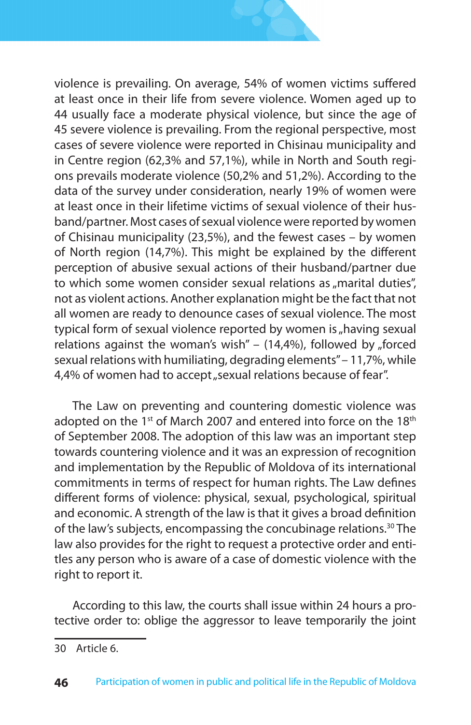violence is prevailing. On average, 54% of women victims suffered at least once in their life from severe violence. Women aged up to 44 usually face a moderate physical violence, but since the age of 45 severe violence is prevailing. From the regional perspective, most cases of severe violence were reported in Chisinau municipality and in Centre region (62,3% and 57,1%), while in North and South regions prevails moderate violence (50,2% and 51,2%). According to the data of the survey under consideration, nearly 19% of women were at least once in their lifetime victims of sexual violence of their husband/partner. Most cases of sexual violence were reported by women of Chisinau municipality (23,5%), and the fewest cases – by women of North region (14,7%). This might be explained by the different perception of abusive sexual actions of their husband/partner due to which some women consider sexual relations as  $<sub>n</sub>$ marital duties",</sub> not as violent actions. Another explanation might be the fact that not all women are ready to denounce cases of sexual violence. The most typical form of sexual violence reported by women is  $<sub>n</sub>$  having sexual</sub> relations against the woman's wish" –  $(14,4%)$ , followed by "forced sexual relations with humiliating, degrading elements" – 11,7%, while 4,4% of women had to accept "sexual relations because of fear".

The Law on preventing and countering domestic violence was adopted on the 1<sup>st</sup> of March 2007 and entered into force on the 18<sup>th</sup> of September 2008. The adoption of this law was an important step towards countering violence and it was an expression of recognition and implementation by the Republic of Moldova of its international commitments in terms of respect for human rights. The Law defines different forms of violence: physical, sexual, psychological, spiritual and economic. A strength of the law is that it gives a broad definition of the law's subjects, encompassing the concubinage relations.<sup>30</sup> The law also provides for the right to request a protective order and entitles any person who is aware of a case of domestic violence with the right to report it.

According to this law, the courts shall issue within 24 hours a protective order to: oblige the aggressor to leave temporarily the joint

<sup>30</sup> Article 6.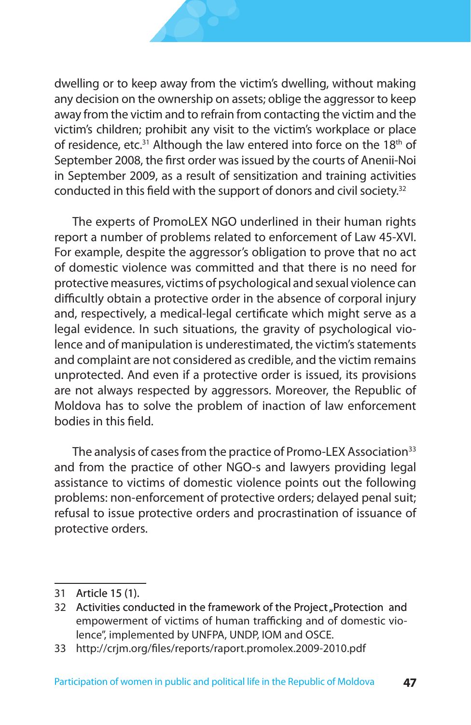dwelling or to keep away from the victim's dwelling, without making any decision on the ownership on assets; oblige the aggressor to keep away from the victim and to refrain from contacting the victim and the victim's children; prohibit any visit to the victim's workplace or place of residence, etc.<sup>31</sup> Although the law entered into force on the 18<sup>th</sup> of September 2008, the first order was issued by the courts of Anenii-Noi in September 2009, as a result of sensitization and training activities conducted in this field with the support of donors and civil society.32

The experts of PromoLEX NGO underlined in their human rights report a number of problems related to enforcement of Law 45-XVI. For example, despite the aggressor's obligation to prove that no act of domestic violence was committed and that there is no need for protective measures, victims of psychological and sexual violence can difficultly obtain a protective order in the absence of corporal injury and, respectively, a medical-legal certificate which might serve as a legal evidence. In such situations, the gravity of psychological violence and of manipulation is underestimated, the victim's statements and complaint are not considered as credible, and the victim remains unprotected. And even if a protective order is issued, its provisions are not always respected by aggressors. Moreover, the Republic of Moldova has to solve the problem of inaction of law enforcement bodies in this field.

The analysis of cases from the practice of Promo-LEX Association<sup>33</sup> and from the practice of other NGO-s and lawyers providing legal assistance to victims of domestic violence points out the following problems: non-enforcement of protective orders; delayed penal suit; refusal to issue protective orders and procrastination of issuance of protective orders.

<sup>31</sup> Article 15 (1).

<sup>32</sup> Activities conducted in the framework of the Project "Protection and empowerment of victims of human trafficking and of domestic violence", implemented by UNFPA, UNDP, IOM and OSCE.

<sup>33</sup> http://crjm.org/files/reports/raport.promolex.2009-2010.pdf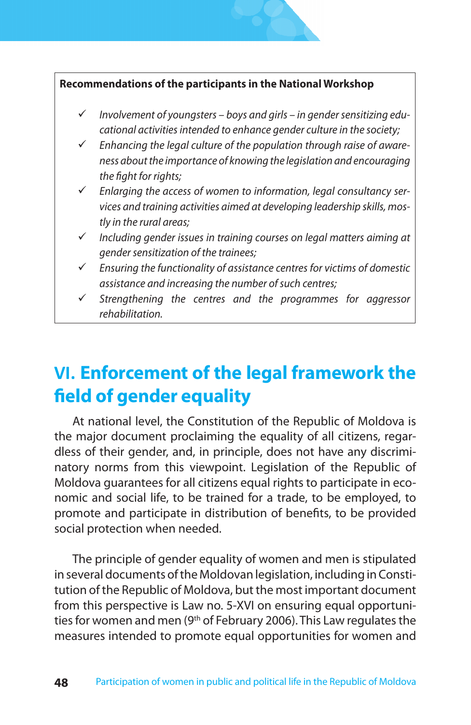#### **Recommendations of the participants in the National Workshop**

- *Involvement of youngsters boys and girls in gender sensitizing educational activities intended to enhance gender culture in the society;*
- *Enhancing the legal culture of the population through raise of awareness about the importance of knowing the legislation and encouraging the fight for rights;*
- *Enlarging the access of women to information, legal consultancy services and training activities aimed at developing leadership skills, mostly in the rural areas;*
- *Including gender issues in training courses on legal matters aiming at gender sensitization of the trainees;*
- *Ensuring the functionality of assistance centres for victims of domestic assistance and increasing the number of such centres;*
- *Strengthening the centres and the programmes for aggressor rehabilitation.*

## **VI. Enforcement of the legal framework the field of gender equality**

At national level, the Constitution of the Republic of Moldova is the major document proclaiming the equality of all citizens, regardless of their gender, and, in principle, does not have any discriminatory norms from this viewpoint. Legislation of the Republic of Moldova guarantees for all citizens equal rights to participate in economic and social life, to be trained for a trade, to be employed, to promote and participate in distribution of benefits, to be provided social protection when needed.

The principle of gender equality of women and men is stipulated in several documents of the Moldovan legislation, including in Constitution of the Republic of Moldova, but the most important document from this perspective is Law no. 5-XVI on ensuring equal opportunities for women and men (9<sup>th</sup> of February 2006). This Law regulates the measures intended to promote equal opportunities for women and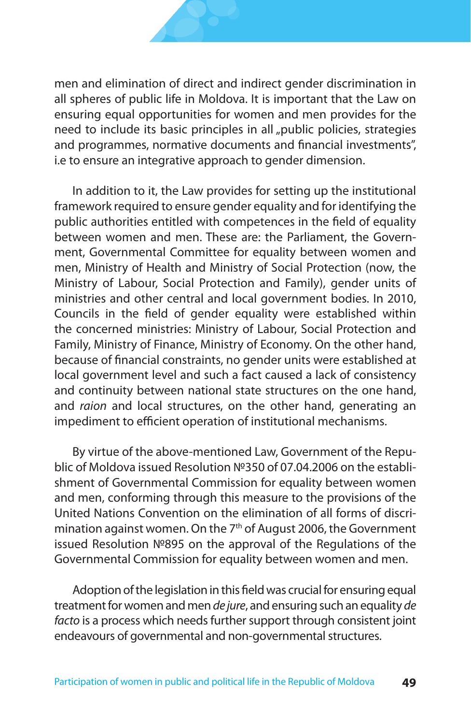men and elimination of direct and indirect gender discrimination in all spheres of public life in Moldova. It is important that the Law on ensuring equal opportunities for women and men provides for the need to include its basic principles in all "public policies, strategies and programmes, normative documents and financial investments", i.e to ensure an integrative approach to gender dimension.

In addition to it, the Law provides for setting up the institutional framework required to ensure gender equality and for identifying the public authorities entitled with competences in the field of equality between women and men. These are: the Parliament, the Government, Governmental Committee for equality between women and men, Ministry of Health and Ministry of Social Protection (now, the Ministry of Labour, Social Protection and Family), gender units of ministries and other central and local government bodies. In 2010, Councils in the field of gender equality were established within the concerned ministries: Ministry of Labour, Social Protection and Family, Ministry of Finance, Ministry of Economy. On the other hand, because of financial constraints, no gender units were established at local government level and such a fact caused a lack of consistency and continuity between national state structures on the one hand, and *raion* and local structures, on the other hand, generating an impediment to efficient operation of institutional mechanisms.

By virtue of the above-mentioned Law, Government of the Republic of Moldova issued Resolution №350 of 07.04.2006 on the establishment of Governmental Commission for equality between women and men, conforming through this measure to the provisions of the United Nations Convention on the elimination of all forms of discrimination against women. On the 7<sup>th</sup> of August 2006, the Government issued Resolution №895 on the approval of the Regulations of the Governmental Commission for equality between women and men.

Adoption of the legislation in this field was crucial for ensuring equal treatment for women and men *de jure*, and ensuring such an equality *de facto* is a process which needs further support through consistent joint endeavours of governmental and non-governmental structures.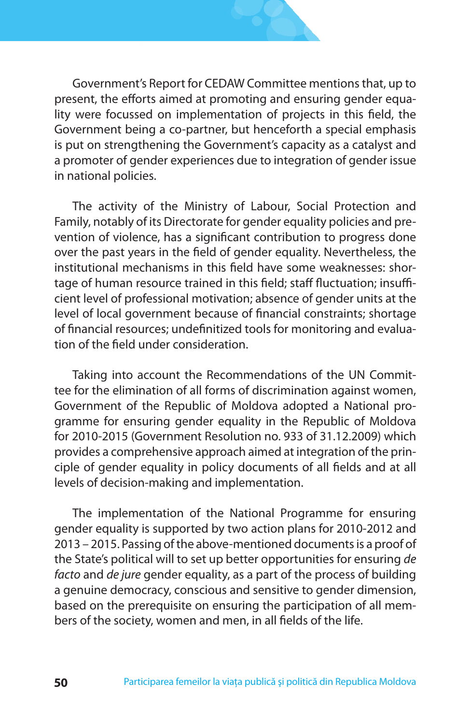

Government's Report for CEDAW Committee mentions that, up to present, the efforts aimed at promoting and ensuring gender equality were focussed on implementation of projects in this field, the Government being a co-partner, but henceforth a special emphasis is put on strengthening the Government's capacity as a catalyst and a promoter of gender experiences due to integration of gender issue in national policies.

The activity of the Ministry of Labour, Social Protection and Family, notably of its Directorate for gender equality policies and prevention of violence, has a significant contribution to progress done over the past years in the field of gender equality. Nevertheless, the institutional mechanisms in this field have some weaknesses: shortage of human resource trained in this field; staff fluctuation; insufficient level of professional motivation; absence of gender units at the level of local government because of financial constraints; shortage of financial resources; undefinitized tools for monitoring and evaluation of the field under consideration.

Taking into account the Recommendations of the UN Committee for the elimination of all forms of discrimination against women, Government of the Republic of Moldova adopted a National programme for ensuring gender equality in the Republic of Moldova for 2010-2015 (Government Resolution no. 933 of 31.12.2009) which provides a comprehensive approach aimed at integration of the principle of gender equality in policy documents of all fields and at all levels of decision-making and implementation.

The implementation of the National Programme for ensuring gender equality is supported by two action plans for 2010-2012 and 2013 – 2015. Passing of the above-mentioned documents is a proof of the State's political will to set up better opportunities for ensuring *de facto* and *de jure* gender equality, as a part of the process of building a genuine democracy, conscious and sensitive to gender dimension, based on the prerequisite on ensuring the participation of all members of the society, women and men, in all fields of the life.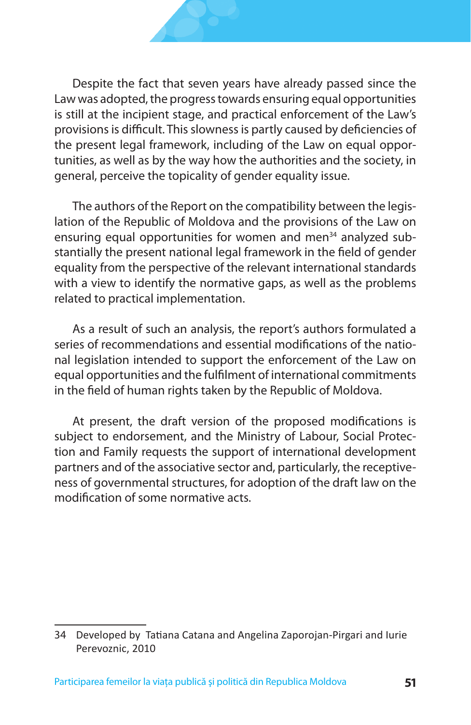Despite the fact that seven years have already passed since the Law was adopted, the progress towards ensuring equal opportunities is still at the incipient stage, and practical enforcement of the Law's provisions is difficult. This slowness is partly caused by deficiencies of the present legal framework, including of the Law on equal opportunities, as well as by the way how the authorities and the society, in general, perceive the topicality of gender equality issue.

The authors of the Report on the compatibility between the legislation of the Republic of Moldova and the provisions of the Law on ensuring equal opportunities for women and men<sup>34</sup> analyzed substantially the present national legal framework in the field of gender equality from the perspective of the relevant international standards with a view to identify the normative gaps, as well as the problems related to practical implementation.

As a result of such an analysis, the report's authors formulated a series of recommendations and essential modifications of the national legislation intended to support the enforcement of the Law on equal opportunities and the fulfilment of international commitments in the field of human rights taken by the Republic of Moldova.

At present, the draft version of the proposed modifications is subject to endorsement, and the Ministry of Labour, Social Protection and Family requests the support of international development partners and of the associative sector and, particularly, the receptiveness of governmental structures, for adoption of the draft law on the modification of some normative acts.

<sup>34</sup> Developed by Tatiana Catana and Angelina Zaporojan-Pirgari and Iurie Perevoznic, 2010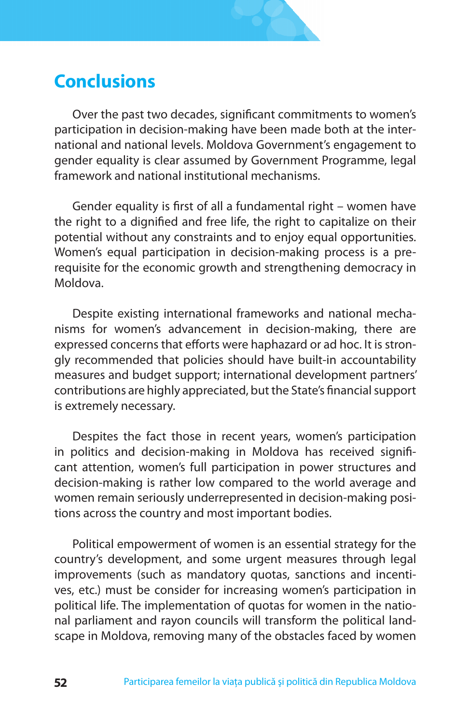### **Conclusions**

Over the past two decades, significant commitments to women's participation in decision-making have been made both at the international and national levels. Moldova Government's engagement to gender equality is clear assumed by Government Programme, legal framework and national institutional mechanisms.

Gender equality is first of all a fundamental right – women have the right to a dignified and free life, the right to capitalize on their potential without any constraints and to enjoy equal opportunities. Women's equal participation in decision-making process is a prerequisite for the economic growth and strengthening democracy in Moldova.

Despite existing international frameworks and national mechanisms for women's advancement in decision-making, there are expressed concerns that efforts were haphazard or ad hoc. It is strongly recommended that policies should have built-in accountability measures and budget support; international development partners' contributions are highly appreciated, but the State's financial support is extremely necessary.

Despites the fact those in recent years, women's participation in politics and decision-making in Moldova has received significant attention, women's full participation in power structures and decision-making is rather low compared to the world average and women remain seriously underrepresented in decision-making positions across the country and most important bodies.

Political empowerment of women is an essential strategy for the country's development, and some urgent measures through legal improvements (such as mandatory quotas, sanctions and incentives, etc.) must be consider for increasing women's participation in political life. The implementation of quotas for women in the national parliament and rayon councils will transform the political landscape in Moldova, removing many of the obstacles faced by women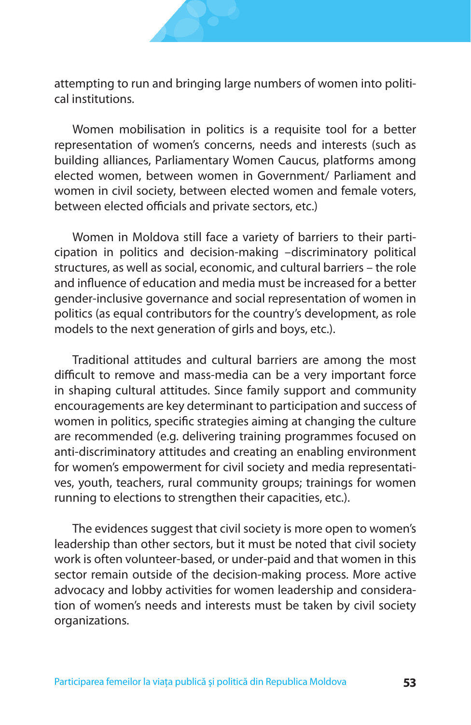

attempting to run and bringing large numbers of women into political institutions.

Women mobilisation in politics is a requisite tool for a better representation of women's concerns, needs and interests (such as building alliances, Parliamentary Women Caucus, platforms among elected women, between women in Government/ Parliament and women in civil society, between elected women and female voters, between elected officials and private sectors, etc.)

Women in Moldova still face a variety of barriers to their participation in politics and decision-making –discriminatory political structures, as well as social, economic, and cultural barriers – the role and influence of education and media must be increased for a better gender-inclusive governance and social representation of women in politics (as equal contributors for the country's development, as role models to the next generation of girls and boys, etc.).

Traditional attitudes and cultural barriers are among the most difficult to remove and mass-media can be a very important force in shaping cultural attitudes. Since family support and community encouragements are key determinant to participation and success of women in politics, specific strategies aiming at changing the culture are recommended (e.g. delivering training programmes focused on anti-discriminatory attitudes and creating an enabling environment for women's empowerment for civil society and media representatives, youth, teachers, rural community groups; trainings for women running to elections to strengthen their capacities, etc.).

The evidences suggest that civil society is more open to women's leadership than other sectors, but it must be noted that civil society work is often volunteer-based, or under-paid and that women in this sector remain outside of the decision-making process. More active advocacy and lobby activities for women leadership and consideration of women's needs and interests must be taken by civil society organizations.